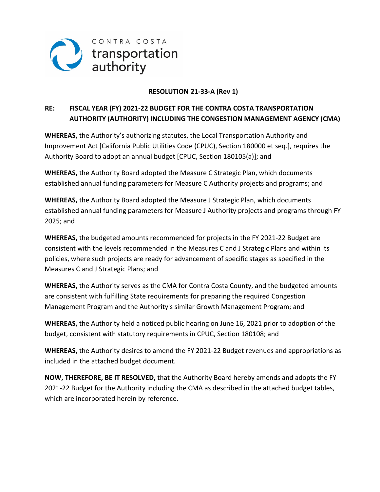

### **RESOLUTION 21-33-A (Rev 1)**

### **RE: FISCAL YEAR (FY) 2021-22 BUDGET FOR THE CONTRA COSTA TRANSPORTATION AUTHORITY (AUTHORITY) INCLUDING THE CONGESTION MANAGEMENT AGENCY (CMA)**

**WHEREAS,** the Authority's authorizing statutes, the Local Transportation Authority and Improvement Act [California Public Utilities Code (CPUC), Section 180000 et seq.], requires the Authority Board to adopt an annual budget [CPUC, Section 180105(a)]; and

**WHEREAS,** the Authority Board adopted the Measure C Strategic Plan, which documents established annual funding parameters for Measure C Authority projects and programs; and

**WHEREAS,** the Authority Board adopted the Measure J Strategic Plan, which documents established annual funding parameters for Measure J Authority projects and programs through FY 2025; and

**WHEREAS,** the budgeted amounts recommended for projects in the FY 2021-22 Budget are consistent with the levels recommended in the Measures C and J Strategic Plans and within its policies, where such projects are ready for advancement of specific stages as specified in the Measures C and J Strategic Plans; and

**WHEREAS,** the Authority serves as the CMA for Contra Costa County, and the budgeted amounts are consistent with fulfilling State requirements for preparing the required Congestion Management Program and the Authority's similar Growth Management Program; and

**WHEREAS,** the Authority held a noticed public hearing on June 16, 2021 prior to adoption of the budget, consistent with statutory requirements in CPUC, Section 180108; and

**WHEREAS,** the Authority desires to amend the FY 2021-22 Budget revenues and appropriations as included in the attached budget document.

**NOW, THEREFORE, BE IT RESOLVED,** that the Authority Board hereby amends and adopts the FY 2021-22 Budget for the Authority including the CMA as described in the attached budget tables, which are incorporated herein by reference.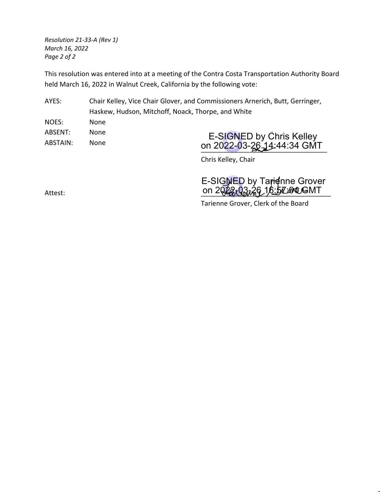*Resolution 21-33-A (Rev 1) March 16, 2022 Page 2 of 2*

This resolution was entered into at a meeting of the Contra Costa Transportation Authority Board held March 16, 2022 in Walnut Creek, California by the following vote:

AYES: Chair Kelley, Vice Chair Glover, and Commissioners Arnerich, Butt, Gerringer, Haskew, Hudson, Mitchoff, Noack, Thorpe, and White

NOES: None ABSENT: None ABSTAIN: None

UII 2022-03-20 20 20 21 44.34 GIVIT E-SIGNED by Chris Kelley on 2022-03-2<u>6 1</u>4:44:34 GMT

Chris Kelley, Chair

Attest: \_\_\_\_\_\_\_\_\_\_\_\_\_\_\_\_\_\_\_\_\_\_\_\_\_\_\_\_\_\_\_\_\_\_\_ on 2022-03-26 16:57:01 GMT E-SIGNED by Tarienne Grover

Tarienne Grover, Clerk of the Board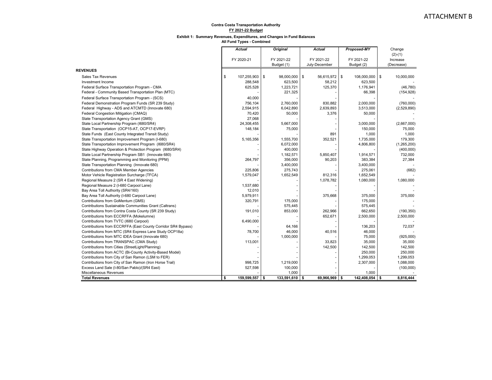#### **Exhibit 1: Summary Revenues, Expenditures, and Changes in Fund Balances**

|                                                              | <b>Actual</b>        |    | <b>Original</b>  | <b>Actual</b>       | <b>Proposed-MY</b> |                |    | Change<br>$(2)-(1)$ |
|--------------------------------------------------------------|----------------------|----|------------------|---------------------|--------------------|----------------|----|---------------------|
|                                                              | FY 2020-21           |    | FY 2021-22       | FY 2021-22          |                    | FY 2021-22     |    | Increase            |
|                                                              |                      |    | Budget (1)       | July-December       |                    | Budget (2)     |    | (Decrease)          |
| <b>REVENUES</b>                                              |                      |    |                  |                     |                    |                |    |                     |
| <b>Sales Tax Revenues</b>                                    | \$<br>107,255,903    | \$ | 98,000,000       | \$<br>56,615,972 \$ |                    | 108,000,000    | \$ | 10,000,000          |
| Investment Income                                            | 288,548              |    | 623,500          | 58,212              |                    | 623,500        |    |                     |
| Federal Surface Transportation Program - CMA                 | 625,528              |    | 1,223,721        | 125,370             |                    | 1,176,941      |    | (46, 780)           |
| Federal - Community Based Transportation Plan (MTC)          |                      |    | 221,325          |                     |                    | 66,398         |    | (154, 928)          |
| Federal Surface Transportation Program - (SCS)               | 40,000               |    |                  |                     |                    |                |    |                     |
| Federal Demonstration Program Funds (SR 239 Study)           | 756,104              |    | 2,760,000        | 830,882             |                    | 2,000,000      |    | (760,000)           |
| Federal Highway - ADS and ATCMTD (Innovate 680)              | 2,594,915            |    | 6,042,890        | 2,639,893           |                    | 3,513,000      |    | (2,529,890)         |
| Federal Congestion Mitigation (CMAQ)                         | 70,420               |    | 50,000           | 3,376               |                    | 50,000         |    |                     |
| State Transportation Agency Grant (GMS)                      | 27,068               |    |                  |                     |                    |                |    |                     |
| State Local Partnership Program (I680/SR4)                   | 24,308,455           |    | 5,667,000        |                     |                    | 3,000,000      |    | (2,667,000)         |
| State Transportation (OCP15-AT, OCP17-EVRP)                  | 148,184              |    | 75,000           |                     |                    | 150,000        |    | 75,000              |
| State Funds (East County Integrated Transit Study)           |                      |    |                  | 891                 |                    | 1,000          |    | 1,000               |
| State Transportation Improvement Program (I-680)             | 5,165,356            |    | 1,555,700        | 352,521             |                    | 1,735,000      |    | 179,300             |
| State Transportation Improvement Program (I680/SR4)          |                      |    | 6,072,000        |                     |                    | 4,806,800      |    | (1,265,200)         |
| State Highway Operation & Protection Program (I680/SR4)      |                      |    | 400,000          |                     |                    |                |    | (400,000)           |
| State Local Partnership Program SB1 (Innovate 680)           |                      |    | 1,182,571        | 5,850,407           |                    | 1,914,571      |    | 732,000             |
| State Planning, Programming and Monitoring (PPM)             | 264,797              |    | 356,000          | 90,203              |                    | 383,384        |    | 27,384              |
| State Transportation Planning (Innovate 680)                 |                      |    | 3,400,000        |                     |                    | 3,400,000      |    |                     |
| Contributions from CMA Member Agencies                       | 225,806              |    | 275,743          |                     |                    | 275,061        |    | (682)               |
| Motor Vehicle Registration Surcharge (TFCA)                  | 1,579,047            |    | 1,652,549        | 812,316             |                    | 1,652,549      |    |                     |
| Regional Measure 2 (SR 4 East Widening)                      |                      |    |                  | 1,078,782           |                    | 1,080,000      |    | 1,080,000           |
| Regional Measure 2 (I-680 Carpool Lane)                      | 1,537,680            |    |                  |                     |                    |                |    |                     |
| Bay Area Toll Authority (SR4/160)                            | 12,010               |    |                  |                     |                    |                |    |                     |
| Bay Area Toll Authority (I-680 Carpool Lane)                 | 5,979,911            |    |                  | 375,668             |                    | 375,000        |    | 375,000             |
| Contributions from GoMentum (GMS)                            | 320,791              |    | 175,000          |                     |                    | 175,000        |    |                     |
| Contributions Sustainable Communities Grant (Caltrans)       |                      |    | 575,445          |                     |                    | 575,445        |    |                     |
| Contributions from Contra Costa County (SR 239 Study)        | 191,010              |    | 853,000          | 262,966             |                    | 662,650        |    | (190, 350)          |
| Contributions from ECCRFFA (Mokelumne)                       |                      |    |                  | 652,671             |                    | 2,500,000      |    | 2,500,000           |
| Contributions from TVTC (I680 Carpool)                       | 6,490,000            |    |                  |                     |                    |                |    |                     |
| Contributions from ECCRFFA (East County Corridor SR4 Bypass) |                      |    | 64,166           |                     |                    | 136,203        |    | 72,037              |
| Contributions from MTC (SR4 Express Lane Study OCP18a)       | 78,700               |    | 46,000           | 40,516              |                    | 46,000         |    |                     |
| Contributions from MTC IDEA Grant (Innovate 680)             |                      |    | 1,000,000        |                     |                    | 75,000         |    | (925,000)           |
| Contributions from TRANSPAC (CMA Study)                      | 113,001              |    |                  | 33,823              |                    | 35,000         |    | 35,000              |
| Contributions from Cities (StreetLight/Planning)             |                      |    |                  | 142,500             |                    | 142,500        |    | 142,500             |
| Contributions from ACTC (Bi-County Activity-Based Model)     |                      |    |                  |                     |                    | 250,000        |    | 250,000             |
| Contributions from City of San Ramon (LSM to FER)            |                      |    |                  |                     |                    | 1,299,053      |    | 1,299,053           |
| Contributions from City of San Ramon (Iron Horse Trail)      | 998,725              |    | 1,219,000        |                     |                    | 2,307,000      |    | 1,088,000           |
| Excess Land Sale (I-80/San Pablo)/(SR4 East)                 | 527,598              |    | 100,000          |                     |                    |                |    | (100,000)           |
| Miscellaneous Revenues                                       |                      |    | 1,000            |                     |                    | 1,000          |    |                     |
| <b>Total Revenues</b>                                        | \$<br>159,599,557 \$ |    | $133,591,610$ \$ | 69,966,969 \$       |                    | 142,408,054 \$ |    | 8,816,444           |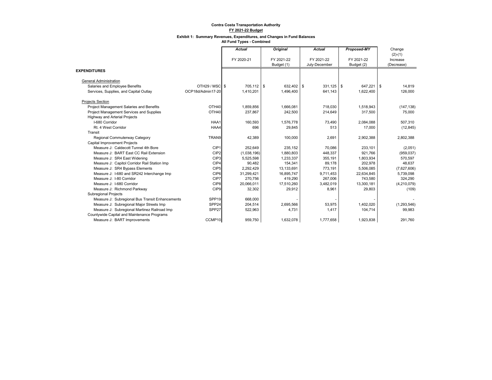#### **Exhibit 1: Summary Revenues, Expenditures, and Changes in Fund Balances**

|                                                 |                   | <b>Actual</b> | Original   | <b>Actual</b> | Proposed-MY | Change         |
|-------------------------------------------------|-------------------|---------------|------------|---------------|-------------|----------------|
|                                                 |                   |               |            |               |             | $(2)-(1)$      |
|                                                 |                   | FY 2020-21    | FY 2021-22 | FY 2021-22    | FY 2021-22  | Increase       |
|                                                 |                   |               | Budget (1) | July-December | Budget (2)  | (Decrease)     |
| <b>EXPENDITURES</b>                             |                   |               |            |               |             |                |
| <b>General Administration</b>                   |                   |               |            |               |             |                |
| Salaries and Employee Benefits                  | OTH29 / MSC S     | 705,112 \$    | 632,402 \$ | $331,125$ \$  | 647,221     | l \$<br>14,819 |
| Services, Supplies, and Capital Outlay          | OCP18d/Admin17-20 | 1,410,201     | 1,496,400  | 641,143       | 1,622,400   | 126,000        |
| <b>Projects Section</b>                         |                   |               |            |               |             |                |
| Project Management Salaries and Benefits        | OTH40             | 1.859.856     | 1.666.081  | 718,030       | 1,518,943   | (147, 138)     |
| Project Management Services and Supplies        | OTH40             | 237,867       | 242,500    | 214,649       | 317,500     | 75,000         |
| Highway and Arterial Projects                   |                   |               |            |               |             |                |
| I-680 Corridor                                  | HAA1              | 160,593       | 1,576,778  | 73.490        | 2,084,088   | 507,310        |
| Rt. 4 West Corridor                             | HAA4              | 696           | 29,845     | 513           | 17,000      | (12, 845)      |
| Transit                                         |                   |               |            |               |             |                |
| Regional Commuterway Category                   | TRAN9             | 42,389        | 100,000    | 2,691         | 2,902,388   | 2,802,388      |
| Capital Improvement Projects                    |                   |               |            |               |             |                |
| Measure J: Caldecott Tunnel 4th Bore            | CIP1              | 252.649       | 235.152    | 70.086        | 233.101     | (2,051)        |
| Measure J: BART East CC Rail Extension          | CIP <sub>2</sub>  | (1,038,196)   | 1,880,803  | 448,337       | 921,766     | (959, 037)     |
| Measure J: SR4 East Widening                    | CIP <sub>3</sub>  | 5,525,598     | 1,233,337  | 355,191       | 1,803,934   | 570,597        |
| Measure J: Capitol Corridor Rail Station Imp    | CIP4              | 90.482        | 154,341    | 89.178        | 202.978     | 48.637         |
| Measure J: SR4 Bypass Elements                  | CIP <sub>5</sub>  | 2,292,429     | 13,133,691 | 773,191       | 5,506,085   | (7,627,606)    |
| Measure J: I-680 and SR242 Interchange Imp      | CIP <sub>6</sub>  | 31,299,421    | 16,895,747 | 9,711,453     | 22,634,845  | 5,739,098      |
| Measure J: I-80 Corridor                        | CIP7              | 270,756       | 419,290    | 267,006       | 743,580     | 324,290        |
| Measure J: I-680 Corridor                       | CIP8              | 20,066,011    | 17,510,260 | 3,482,019     | 13,300,181  | (4,210,079)    |
| Measure J: Richmond Parkway                     | CIP <sub>9</sub>  | 32,302        | 29,912     | 8,961         | 29,803      | (109)          |
| <b>Subregional Projects</b>                     |                   |               |            |               |             |                |
| Measure J: Subregional Bus Transit Enhancements | SPP <sub>19</sub> | 668,000       |            |               |             |                |
| Measure J: Subregional Major Streets Imp        | SPP <sub>24</sub> | 204,514       | 2,695,566  | 53,975        | 1,402,020   | (1, 293, 546)  |
| Measure J: Subregional Martinez Railroad Imp    | SPP <sub>27</sub> | 522,963       | 4,731      | 1,417         | 104,714     | 99.983         |
| Countywide Capital and Maintenance Programs     |                   |               |            |               |             |                |
| Measure J: BART Improvements                    | CCMP10            | 959.750       | 1,632,078  | 1,777,658     | 1,923,838   | 291.760        |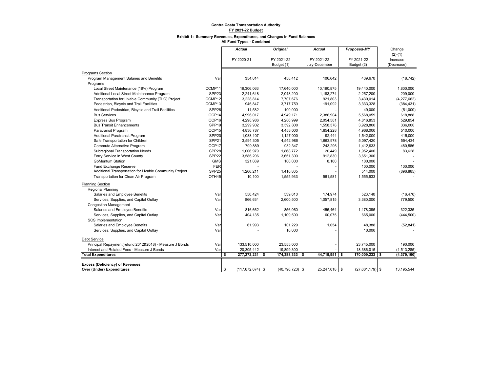#### **Exhibit 1: Summary Revenues, Expenditures, and Changes in Fund Balances**

|                                                         |                   | <b>Actual</b>              | <b>Original</b>      | <b>Actual</b> | Proposed-MY       | Change      |
|---------------------------------------------------------|-------------------|----------------------------|----------------------|---------------|-------------------|-------------|
|                                                         |                   |                            |                      |               |                   | $(2)-(1)$   |
|                                                         |                   | FY 2020-21                 | FY 2021-22           | FY 2021-22    | FY 2021-22        | Increase    |
|                                                         |                   |                            | Budget (1)           | July-December | Budget (2)        | (Decrease)  |
| <b>Programs Section</b>                                 |                   |                            |                      |               |                   |             |
| Program Management Salaries and Benefits                | Var               | 354,014                    | 458,412              | 106,642       | 439,670           | (18, 742)   |
| Programs                                                |                   |                            |                      |               |                   |             |
| Local Street Maintenance (18%) Program                  | CCMP11            | 19,306,063                 | 17,640,000           | 10.190.875    | 19.440.000        | 1.800.000   |
| Additional Local Street Maintenance Program             | SPP <sub>23</sub> | 2,241,648                  | 2,048,200            | 1.183.274     | 2.257.200         | 209,000     |
| Transportation for Livable Community (TLC) Project      | CCMP12            | 3,228,814                  | 7,707,676            | 921,803       | 3,430,014         | (4,277,662) |
| Pedestrian, Bicycle and Trail Facilities                | CCMP13            | 946,847                    | 3,717,759            | 191,092       | 3,333,328         | (384, 431)  |
| Additional Pedestrian, Bicycle and Trail Facilities     | SPP <sub>26</sub> | 11,582                     | 100,000              |               | 49,000            | (51,000)    |
| <b>Bus Services</b>                                     | OCP14             | 4,996,017                  | 4,949,171            | 2,386,904     | 5,568,059         | 618,888     |
| Express Bus Program                                     | OCP16             | 4,298,986                  | 4,286,999            | 2,054,581     | 4,816,853         | 529,854     |
| <b>Bus Transit Enhancements</b>                         | SPP <sub>19</sub> | 3,299,902                  | 3,592,800            | 1,558,378     | 3,928,800         | 336,000     |
| Paratransit Program                                     | OCP15             | 4,836,787                  | 4,458,000            | 1,854,228     | 4,968,000         | 510,000     |
| <b>Additional Paratransit Program</b>                   | SPP <sub>20</sub> | 1,088,107                  | 1,127,000            | 92.444        | 1,542,000         | 415,000     |
| Safe Transportation for Children                        | SPP <sub>21</sub> | 3,594,305                  | 4,542,986            | 1.663.978     | 5,097,420         | 554,434     |
| Commute Alternative Program                             | OCP17             | 799,889                    | 932,347              | 243,296       | 1,412,933         | 480,586     |
| <b>Subregional Transportation Needs</b>                 | SPP <sub>28</sub> | 1,006,979                  | 1,868,772            | 20,449        | 1,952,400         | 83,628      |
| Ferry Service in West County                            | SPP <sub>22</sub> | 3,586,206                  | 3,651,300            | 912,830       | 3,651,300         |             |
| <b>GoMentum Station</b>                                 | <b>GMS</b>        | 321,089                    | 100,000              | 8,100         | 100,000           |             |
| Fund Exchange Reserve                                   | FER               |                            |                      |               | 100,000           | 100,000     |
| Additional Transportation for Livable Community Project | SPP <sub>25</sub> | 1,266,211                  | 1,410,865            |               | 514,000           | (896, 865)  |
| Transportation for Clean Air Program                    | OTH <sub>45</sub> | 10,100                     | 1,555,933            | 561,581       | 1,555,933         |             |
| <b>Planning Section</b>                                 |                   |                            |                      |               |                   |             |
| <b>Regional Planning</b>                                |                   |                            |                      |               |                   |             |
| Salaries and Employee Benefits                          | Var               | 550.424                    | 539.610              | 174.974       | 523.140           | (16, 470)   |
| Services, Supplies, and Capital Outlay                  | Var               | 866,634                    | 2,600,500            | 1,057,815     | 3,380,000         | 779,500     |
| <b>Congestion Management</b>                            |                   |                            |                      |               |                   |             |
| Salaries and Employee Benefits                          | Var               | 816,662                    | 856,060              | 455,464       | 1,178,395         | 322,335     |
| Services, Supplies, and Capital Outlay                  | Var               | 404,135                    | 1,109,500            | 60,075        | 665,000           | (444, 500)  |
| <b>SCS</b> Implementation                               |                   |                            |                      |               |                   |             |
| Salaries and Employee Benefits                          | Var               | 61,993                     | 101,229              | 1,054         | 48,388            | (52, 841)   |
| Services, Supplies, and Capital Outlay                  | Var               |                            | 10,000               |               | 10,000            |             |
| <b>Debt Service</b>                                     |                   |                            |                      |               |                   |             |
| Principal Repayment(refund 2012&2018) - Measure J Bonds | Var               | 133,510,000                | 23,555,000           |               | 23,745,000        | 190,000     |
| Interest and Related Fees - Measure J Bonds             | Var               | 20,305,442                 | 19,899,300           |               | 18,386,015        | (1,513,285) |
| <b>Total Expenditures</b>                               |                   | \$<br>277,272,231          | 174,388,333 \$<br>-S | 44,719,951 \$ | 170,009,233 \$    | (4,379,100) |
|                                                         |                   |                            |                      |               |                   |             |
| Excess (Deficiency) of Revenues                         |                   |                            |                      |               |                   |             |
| Over (Under) Expenditures                               |                   | \$<br>$(117, 672, 674)$ \$ | $(40, 796, 723)$ \$  | 25,247,018 \$ | $(27,601,179)$ \$ | 13.195.544  |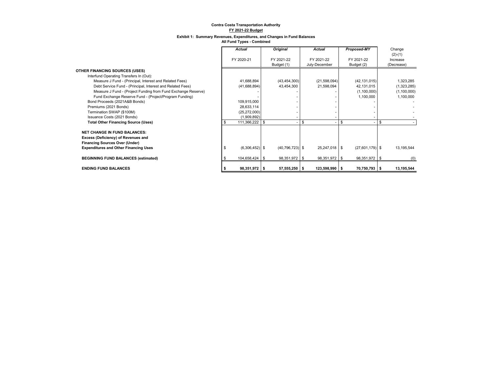#### **Exhibit 1: Summary Revenues, Expenditures, and Changes in Fund Balances**

|                                                               | Actual           | <b>Original</b> |                     | <b>Actual</b>  | Proposed-MY       | Change        |
|---------------------------------------------------------------|------------------|-----------------|---------------------|----------------|-------------------|---------------|
|                                                               |                  |                 |                     |                |                   | $(2)-(1)$     |
|                                                               | FY 2020-21       | FY 2021-22      |                     | FY 2021-22     | FY 2021-22        | Increase      |
|                                                               |                  | Budget (1)      |                     | July-December  | Budget (2)        | (Decrease)    |
| <b>OTHER FINANCING SOURCES (USES)</b>                         |                  |                 |                     |                |                   |               |
| Interfund Operating Transfers In (Out):                       |                  |                 |                     |                |                   |               |
| Measure J Fund - (Principal, Interest and Related Fees)       | 41,688,894       |                 | (43, 454, 300)      | (21, 598, 094) | (42, 131, 015)    | 1,323,285     |
| Debt Service Fund - (Principal, Interest and Related Fees)    | (41,688,894)     |                 | 43,454,300          | 21,598,094     | 42,131,015        | (1,323,285)   |
| Measure J Fund - (Project Funding from Fund Exchange Reserve) |                  |                 |                     |                | (1,100,000)       | (1, 100, 000) |
| Fund Exchange Reserve Fund - (Project/Program Funding)        |                  |                 |                     |                | 1,100,000         | 1,100,000     |
| Bond Proceeds (2021A&B Bonds)                                 | 109,915,000      |                 |                     |                |                   |               |
| Premiums (2021 Bonds)                                         | 28,633,114       |                 |                     |                |                   |               |
| Termination SWAP (\$100M)                                     | (25, 272, 000)   |                 |                     |                |                   |               |
| Issuance Costs (2021 Bonds)                                   | (1,909,892)      |                 |                     |                |                   |               |
| <b>Total Other Financing Source (Uses)</b>                    | 111,366,222 \$   |                 |                     | \$             | \$                | \$            |
| <b>NET CHANGE IN FUND BALANCES:</b>                           |                  |                 |                     |                |                   |               |
| Excess (Deficiency) of Revenues and                           |                  |                 |                     |                |                   |               |
| <b>Financing Sources Over (Under)</b>                         |                  |                 |                     |                |                   |               |
| <b>Expenditures and Other Financing Uses</b>                  | $(6,306,452)$ \$ |                 | $(40, 796, 723)$ \$ | 25,247,018 \$  | $(27,601,179)$ \$ | 13,195,544    |
| <b>BEGINNING FUND BALANCES (estimated)</b>                    | 104,658,424 \$   |                 | 98,351,972 \$       | 98,351,972 \$  | 98,351,972 \$     | (0)           |
| <b>ENDING FUND BALANCES</b>                                   | $98,351,972$ \$  |                 | $57,555,250$ \$     | 123,598,990 \$ | 70,750,793 \$     | 13,195,544    |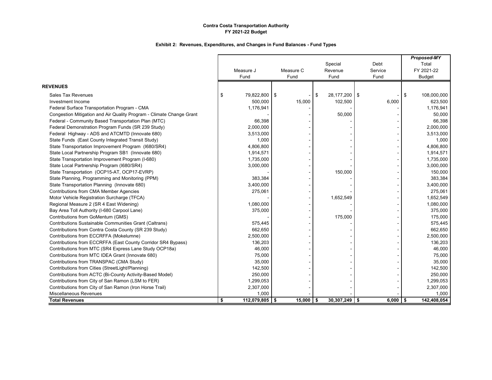|                                                                      |           |                  |           |                     |                    | Proposed-MY       |
|----------------------------------------------------------------------|-----------|------------------|-----------|---------------------|--------------------|-------------------|
|                                                                      |           |                  |           | Special             | Debt               | Total             |
|                                                                      | Measure J |                  | Measure C | Revenue             | Service            | FY 2021-22        |
|                                                                      | Fund      |                  | Fund      | Fund                | Fund               | <b>Budget</b>     |
| <b>REVENUES</b>                                                      |           |                  |           |                     |                    |                   |
| <b>Sales Tax Revenues</b>                                            | \$        | 79,822,800 \$    |           | 28,177,200 \$<br>\$ |                    | 108,000,000<br>\$ |
| Investment Income                                                    |           | 500,000          | 15,000    | 102,500             | 6,000              | 623,500           |
| Federal Surface Transportation Program - CMA                         |           | 1,176,941        |           |                     |                    | 1,176,941         |
| Congestion Mitigation and Air Quality Program - Climate Change Grant |           |                  |           | 50,000              |                    | 50,000            |
| Federal - Community Based Transportation Plan (MTC)                  |           | 66,398           |           |                     |                    | 66,398            |
| Federal Demonstration Program Funds (SR 239 Study)                   |           | 2,000,000        |           |                     |                    | 2,000,000         |
| Federal Highway - ADS and ATCMTD (Innovate 680)                      |           | 3,513,000        |           |                     |                    | 3,513,000         |
| State Funds (East County Integrated Transit Study)                   |           | 1,000            |           |                     |                    | 1,000             |
| State Transportation Improvement Program (I680/SR4)                  |           | 4,806,800        |           |                     |                    | 4,806,800         |
| State Local Partnership Program SB1 (Innovate 680)                   |           | 1,914,571        |           |                     |                    | 1,914,571         |
| State Transportation Improvement Program (I-680)                     |           | 1,735,000        |           |                     |                    | 1,735,000         |
| State Local Partnership Program (I680/SR4)                           |           | 3,000,000        |           |                     |                    | 3,000,000         |
| State Transportation (OCP15-AT, OCP17-EVRP)                          |           |                  |           | 150,000             |                    | 150,000           |
| State Planning, Programming and Monitoring (PPM)                     |           | 383,384          |           |                     |                    | 383,384           |
| State Transportation Planning (Innovate 680)                         |           | 3,400,000        |           |                     |                    | 3,400,000         |
| Contributions from CMA Member Agencies                               |           | 275,061          |           |                     |                    | 275,061           |
| Motor Vehicle Registration Surcharge (TFCA)                          |           |                  |           | 1,652,549           |                    | 1,652,549         |
| Regional Measure 2 (SR 4 East Widening)                              |           | 1,080,000        |           |                     |                    | 1,080,000         |
| Bay Area Toll Authority (I-680 Carpool Lane)                         |           | 375,000          |           |                     |                    | 375,000           |
| Contributions from GoMentum (GMS)                                    |           |                  |           | 175,000             |                    | 175,000           |
| Contributions Sustainable Communities Grant (Caltrans)               |           | 575,445          |           |                     |                    | 575,445           |
| Contributions from Contra Costa County (SR 239 Study)                |           | 662,650          |           |                     |                    | 662,650           |
| Contributions from ECCRFFA (Mokelumne)                               |           | 2,500,000        |           |                     |                    | 2,500,000         |
| Contributions from ECCRFFA (East County Corridor SR4 Bypass)         |           | 136,203          |           |                     |                    | 136,203           |
| Contributions from MTC (SR4 Express Lane Study OCP18a)               |           | 46,000           |           |                     |                    | 46,000            |
| Contributions from MTC IDEA Grant (Innovate 680)                     |           | 75,000           |           |                     |                    | 75,000            |
| Contributions from TRANSPAC (CMA Study)                              |           | 35,000           |           |                     |                    | 35,000            |
| Contributions from Cities (StreetLight/Planning)                     |           | 142,500          |           |                     |                    | 142,500           |
| Contributions from ACTC (Bi-County Activity-Based Model)             |           | 250,000          |           |                     |                    | 250,000           |
| Contributions from City of San Ramon (LSM to FER)                    |           | 1,299,053        |           |                     |                    | 1,299,053         |
| Contributions from City of San Ramon (Iron Horse Trail)              |           | 2,307,000        |           |                     |                    | 2,307,000         |
| Miscellaneous Revenues                                               |           | 1,000            |           |                     |                    | 1,000             |
| <b>Total Revenues</b>                                                | \$        | $112,079,805$ \$ | 15,000    | 30,307,249<br>\$    | $6,000$ \$<br>l \$ | 142,408,054       |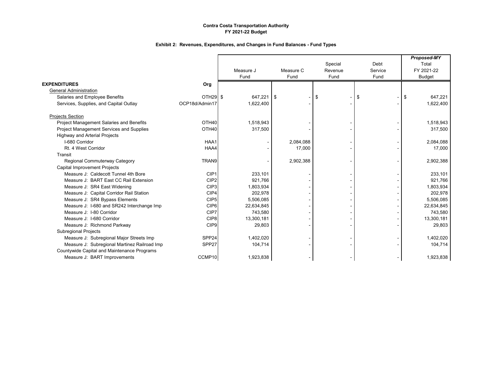|                                              |                      |            |           |         |         | Proposed-MY   |
|----------------------------------------------|----------------------|------------|-----------|---------|---------|---------------|
|                                              |                      |            |           | Special | Debt    | Total         |
|                                              |                      | Measure J  | Measure C | Revenue | Service | FY 2021-22    |
|                                              |                      | Fund       | Fund      | Fund    | Fund    | <b>Budget</b> |
| <b>EXPENDITURES</b>                          | Org                  |            |           |         |         |               |
| <b>General Administration</b>                |                      |            |           |         |         |               |
| Salaries and Employee Benefits               | OTH <sub>29</sub> \$ | 647,221 \$ |           | \$      | \$      | 647.221<br>\$ |
| Services, Supplies, and Capital Outlay       | OCP18d/Admin17       | 1,622,400  |           |         |         | 1,622,400     |
| <b>Projects Section</b>                      |                      |            |           |         |         |               |
| Project Management Salaries and Benefits     | OTH <sub>40</sub>    | 1,518,943  |           |         |         | 1,518,943     |
| Project Management Services and Supplies     | OTH40                | 317,500    |           |         |         | 317,500       |
| <b>Highway and Arterial Projects</b>         |                      |            |           |         |         |               |
| I-680 Corridor                               | HAA1                 |            | 2,084,088 |         |         | 2,084,088     |
| Rt. 4 West Corridor                          | HAA4                 |            | 17,000    |         |         | 17,000        |
| Transit                                      |                      |            |           |         |         |               |
| Regional Commuterway Category                | TRAN9                |            | 2,902,388 |         |         | 2,902,388     |
| Capital Improvement Projects                 |                      |            |           |         |         |               |
| Measure J: Caldecott Tunnel 4th Bore         | CIP1                 | 233,101    |           |         |         | 233.101       |
| Measure J: BART East CC Rail Extension       | CIP <sub>2</sub>     | 921,766    |           |         |         | 921,766       |
| Measure J: SR4 East Widening                 | CIP <sub>3</sub>     | 1,803,934  |           |         |         | 1,803,934     |
| Measure J: Capital Corridor Rail Station     | CIP4                 | 202,978    |           |         |         | 202,978       |
| Measure J: SR4 Bypass Elements               | CIP <sub>5</sub>     | 5,506,085  |           |         |         | 5,506,085     |
| Measure J: I-680 and SR242 Interchange Imp   | CIP <sub>6</sub>     | 22,634,845 |           |         |         | 22,634,845    |
| Measure J: I-80 Corridor                     | CIP7                 | 743.580    |           |         |         | 743,580       |
| Measure J: 1-680 Corridor                    | CIP <sub>8</sub>     | 13,300,181 |           |         |         | 13,300,181    |
| Measure J: Richmond Parkway                  | CIP <sub>9</sub>     | 29,803     |           |         |         | 29,803        |
| Subregional Projects                         |                      |            |           |         |         |               |
| Measure J: Subregional Major Streets Imp     | SPP24                | 1,402,020  |           |         |         | 1,402,020     |
| Measure J: Subregional Martinez Railroad Imp | SPP27                | 104,714    |           |         |         | 104,714       |
| Countywide Capital and Maintenance Programs  |                      |            |           |         |         |               |
| Measure J: BART Improvements                 | CCMP10               | 1,923,838  |           |         |         | 1,923,838     |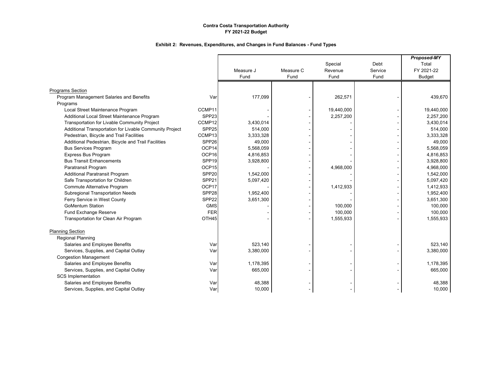|                                                         |                   |           |           |                    | Debt    | Proposed-MY<br>Total |
|---------------------------------------------------------|-------------------|-----------|-----------|--------------------|---------|----------------------|
|                                                         |                   | Measure J | Measure C | Special<br>Revenue | Service | FY 2021-22           |
|                                                         |                   | Fund      | Fund      | Fund               | Fund    | <b>Budget</b>        |
|                                                         |                   |           |           |                    |         |                      |
| <b>Programs Section</b>                                 |                   |           |           |                    |         |                      |
| Program Management Salaries and Benefits                | Var               | 177,099   |           | 262,571            |         | 439,670              |
| Programs                                                |                   |           |           |                    |         |                      |
| Local Street Maintenance Program                        | CCMP11            |           |           | 19,440,000         |         | 19,440,000           |
| Additional Local Street Maintenance Program             | SPP <sub>23</sub> |           |           | 2,257,200          |         | 2,257,200            |
| Transportation for Livable Community Project            | CCMP12            | 3.430.014 |           |                    |         | 3,430,014            |
| Additional Transportation for Livable Community Project | SPP <sub>25</sub> | 514,000   |           |                    |         | 514,000              |
| Pedestrian, Bicycle and Trail Facilities                | CCMP13            | 3,333,328 |           |                    |         | 3,333,328            |
| Additional Pedestrian, Bicycle and Trail Facilities     | SPP <sub>26</sub> | 49,000    |           |                    |         | 49,000               |
| <b>Bus Services Program</b>                             | OCP14             | 5,568,059 |           |                    |         | 5,568,059            |
| <b>Express Bus Program</b>                              | OCP16             | 4,816,853 |           |                    |         | 4,816,853            |
| <b>Bus Transit Enhancements</b>                         | SPP <sub>19</sub> | 3,928,800 |           |                    |         | 3,928,800            |
| Paratransit Program                                     | OCP15             |           |           | 4,968,000          |         | 4,968,000            |
| <b>Additional Paratransit Program</b>                   | SPP <sub>20</sub> | 1,542,000 |           |                    |         | 1,542,000            |
| Safe Transportation for Children                        | SPP <sub>21</sub> | 5,097,420 |           |                    |         | 5,097,420            |
| Commute Alternative Program                             | OCP17             |           |           | 1,412,933          |         | 1,412,933            |
| <b>Subregional Transportation Needs</b>                 | SPP28             | 1,952,400 |           |                    |         | 1,952,400            |
| Ferry Service in West County                            | SPP <sub>22</sub> | 3,651,300 |           |                    |         | 3,651,300            |
| <b>GoMentum Station</b>                                 | <b>GMS</b>        |           |           | 100,000            |         | 100,000              |
| Fund Exchange Reserve                                   | <b>FER</b>        |           |           | 100,000            |         | 100,000              |
| Transportation for Clean Air Program                    | OTH45             |           |           | 1,555,933          |         | 1,555,933            |
| <b>Planning Section</b>                                 |                   |           |           |                    |         |                      |
| <b>Regional Planning</b>                                |                   |           |           |                    |         |                      |
| Salaries and Employee Benefits                          | Var               | 523,140   |           |                    |         | 523,140              |
| Services, Supplies, and Capital Outlay                  | Var               | 3,380,000 |           |                    |         | 3,380,000            |
| <b>Congestion Management</b>                            |                   |           |           |                    |         |                      |
| Salaries and Employee Benefits                          | Var               | 1,178,395 |           |                    |         | 1,178,395            |
| Services, Supplies, and Capital Outlay                  | Var               | 665,000   |           |                    |         | 665,000              |
| <b>SCS Implementation</b>                               |                   |           |           |                    |         |                      |
| Salaries and Employee Benefits                          | Var               | 48,388    |           |                    |         | 48,388               |
| Services, Supplies, and Capital Outlay                  | Var               | 10,000    |           |                    |         | 10,000               |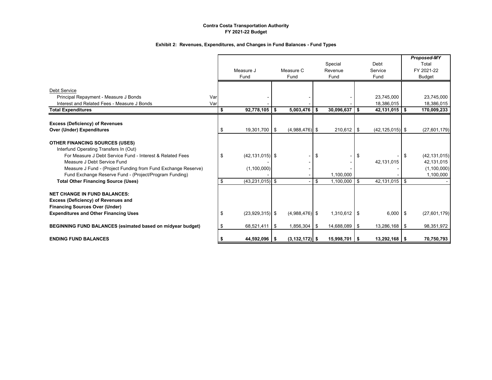|                                                                                                                                                                                                                                                                                                        |            | Measure J<br>Fund                                    | Measure C<br>Fund  |      | Special<br>Revenue<br>Fund       | Debt<br>Service<br>Fund       |      | <b>Proposed-MY</b><br>Total<br>FY 2021-22<br>Budget      |
|--------------------------------------------------------------------------------------------------------------------------------------------------------------------------------------------------------------------------------------------------------------------------------------------------------|------------|------------------------------------------------------|--------------------|------|----------------------------------|-------------------------------|------|----------------------------------------------------------|
| <b>Debt Service</b><br>Principal Repayment - Measure J Bonds<br>Interest and Related Fees - Measure J Bonds                                                                                                                                                                                            | Var<br>Var |                                                      |                    |      |                                  | 23,745,000<br>18,386,015      |      | 23,745,000<br>18,386,015                                 |
| <b>Total Expenditures</b>                                                                                                                                                                                                                                                                              |            | $92,778,105$ \$<br>\$                                | 5,003,476          | l \$ | $30,096,637$ \$                  | $42,131,015$ \$               |      | 170,009,233                                              |
| <b>Excess (Deficiency) of Revenues</b><br><b>Over (Under) Expenditures</b>                                                                                                                                                                                                                             |            | 19,301,700 \$                                        | $(4,988,476)$ \$   |      | $210,612$ \$                     | $(42, 125, 015)$ \$           |      | (27,601,179)                                             |
| <b>OTHER FINANCING SOURCES (USES)</b><br>Interfund Operating Transfers In (Out)<br>For Measure J Debt Service Fund - Interest & Related Fees<br>Measure J Debt Service Fund<br>Measure J Fund - (Project Funding from Fund Exchange Reserve)<br>Fund Exchange Reserve Fund - (Project/Program Funding) |            | $(42, 131, 015)$ \$<br>(1,100,000)                   |                    | \$   | 1,100,000                        | \$<br>42,131,015              | -\$  | (42, 131, 015)<br>42,131,015<br>(1,100,000)<br>1,100,000 |
| <b>Total Other Financing Source (Uses)</b><br><b>NET CHANGE IN FUND BALANCES:</b><br>Excess (Deficiency) of Revenues and<br><b>Financing Sources Over (Under)</b><br><b>Expenditures and Other Financing Uses</b>                                                                                      |            | $(43, 231, 015)$ \$<br>\$<br>$(23,929,315)$ \$<br>\$ | $(4,988,476)$ \$   | \$   | $1,100,000$ \$<br>$1,310,612$ \$ | 42.131.015 \$<br>$6,000$ \ \$ |      | (27,601,179)                                             |
| BEGINNING FUND BALANCES (esimated based on midyear budget)                                                                                                                                                                                                                                             |            | $68,521,411$ \$                                      | 1,856,304          | l \$ | 14,688,089 \$                    | 13,286,168                    | l \$ | 98,351,972                                               |
| <b>ENDING FUND BALANCES</b>                                                                                                                                                                                                                                                                            |            | $44,592,096$   \$                                    | $(3, 132, 172)$ \$ |      | $15,998,701$ \$                  | $13,292,168$ \$               |      | 70,750,793                                               |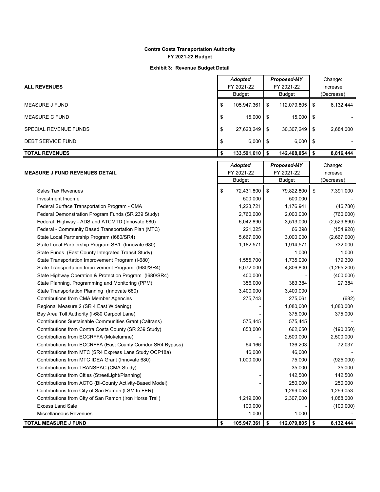#### **Exhibit 3: Revenue Budget Detail**

| <b>ALL REVENUES</b>          |    | <b>Adopted</b><br>FY 2021-22<br>Budget | <b>Proposed-MY</b><br>FY 2021-22<br>Budget |             |      | Change:<br>Increase<br>(Decrease) |
|------------------------------|----|----------------------------------------|--------------------------------------------|-------------|------|-----------------------------------|
| <b>MEASURE J FUND</b>        | \$ | 105,947,361                            | S                                          | 112,079,805 | -\$  | 6,132,444                         |
| <b>MEASURE C FUND</b>        | \$ | 15.000                                 | S                                          | 15.000      | l \$ |                                   |
| <b>SPECIAL REVENUE FUNDS</b> | \$ | 27,623,249                             | \$                                         | 30,307,249  | - \$ | 2,684,000                         |
| DEBT SERVICE FUND            | \$ | 6,000                                  | -S                                         | 6,000       | l \$ |                                   |
| <b>TOTAL REVENUES</b>        | S  | 133,591,610                            |                                            | 142,408,054 | - \$ | 8,816,444                         |

|                                                              | <b>Adopted</b>    | Proposed-MY       | Change:         |
|--------------------------------------------------------------|-------------------|-------------------|-----------------|
| <b>MEASURE J FUND REVENUES DETAIL</b>                        | FY 2021-22        | FY 2021-22        | Increase        |
|                                                              | <b>Budget</b>     | <b>Budget</b>     | (Decrease)      |
| <b>Sales Tax Revenues</b>                                    | \$<br>72,431,800  | \$<br>79,822,800  | 7,391,000<br>\$ |
| Investment Income                                            | 500,000           | 500,000           |                 |
| Federal Surface Transportation Program - CMA                 | 1,223,721         | 1,176,941         | (46, 780)       |
| Federal Demonstration Program Funds (SR 239 Study)           | 2,760,000         | 2,000,000         | (760,000)       |
| Federal Highway - ADS and ATCMTD (Innovate 680)              | 6,042,890         | 3,513,000         | (2,529,890)     |
| Federal - Community Based Transportation Plan (MTC)          | 221,325           | 66,398            | (154, 928)      |
| State Local Partnership Program (1680/SR4)                   | 5,667,000         | 3,000,000         | (2,667,000)     |
| State Local Partnership Program SB1 (Innovate 680)           | 1,182,571         | 1,914,571         | 732,000         |
| State Funds (East County Integrated Transit Study)           |                   | 1,000             | 1,000           |
| State Transportation Improvement Program (I-680)             | 1,555,700         | 1,735,000         | 179,300         |
| State Transportation Improvement Program (I680/SR4)          | 6,072,000         | 4,806,800         | (1,265,200)     |
| State Highway Operation & Protection Program (I680/SR4)      | 400,000           |                   | (400,000)       |
| State Planning, Programming and Monitoring (PPM)             | 356,000           | 383,384           | 27,384          |
| State Transportation Planning (Innovate 680)                 | 3,400,000         | 3,400,000         |                 |
| Contributions from CMA Member Agencies                       | 275,743           | 275,061           | (682)           |
| Regional Measure 2 (SR 4 East Widening)                      |                   | 1,080,000         | 1,080,000       |
| Bay Area Toll Authority (I-680 Carpool Lane)                 |                   | 375,000           | 375,000         |
| Contributions Sustainable Communities Grant (Caltrans)       | 575,445           | 575,445           |                 |
| Contributions from Contra Costa County (SR 239 Study)        | 853,000           | 662,650           | (190, 350)      |
| Contributions from ECCRFFA (Mokelumne)                       |                   | 2,500,000         | 2,500,000       |
| Contributions from ECCRFFA (East County Corridor SR4 Bypass) | 64,166            | 136,203           | 72,037          |
| Contributions from MTC (SR4 Express Lane Study OCP18a)       | 46,000            | 46,000            |                 |
| Contributions from MTC IDEA Grant (Innovate 680)             | 1,000,000         | 75,000            | (925,000)       |
| Contributions from TRANSPAC (CMA Study)                      |                   | 35,000            | 35,000          |
| Contributions from Cities (StreetLight/Planning)             |                   | 142,500           | 142,500         |
| Contributions from ACTC (Bi-County Activity-Based Model)     |                   | 250,000           | 250,000         |
| Contributions from City of San Ramon (LSM to FER)            |                   | 1,299,053         | 1,299,053       |
| Contributions from City of San Ramon (Iron Horse Trail)      | 1,219,000         | 2,307,000         | 1,088,000       |
| <b>Excess Land Sale</b>                                      | 100,000           |                   | (100,000)       |
| Miscellaneous Revenues                                       | 1,000             | 1,000             |                 |
| <b>TOTAL MEASURE J FUND</b>                                  | \$<br>105,947,361 | \$<br>112,079,805 | \$<br>6,132,444 |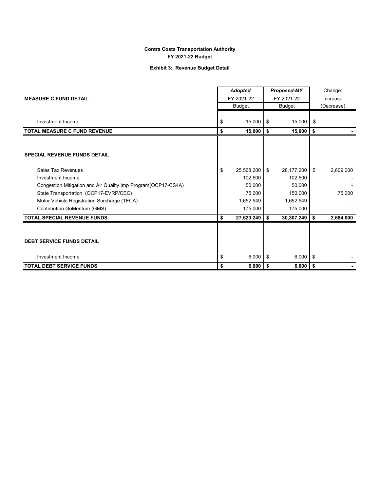### **Exhibit 3: Revenue Budget Detail**

|                                                                | <b>Adopted</b>   |           | Proposed-MY | Change:  |            |  |
|----------------------------------------------------------------|------------------|-----------|-------------|----------|------------|--|
| <b>MEASURE C FUND DETAIL</b>                                   | FY 2021-22       |           | FY 2021-22  | Increase |            |  |
|                                                                | Budget           |           | Budget      |          | (Decrease) |  |
| Investment Income                                              | \$<br>15,000     | $1$ \$    | 15,000      | \$       |            |  |
| <b>TOTAL MEASURE C FUND REVENUE</b>                            | \$<br>15,000     | ۱\$       | 15,000      | \$       |            |  |
|                                                                |                  |           |             |          |            |  |
| <b>SPECIAL REVENUE FUNDS DETAIL</b>                            |                  |           |             |          |            |  |
| Sales Tax Revenues                                             | \$<br>25,568,200 | <b>IS</b> | 28,177,200  | \$       | 2,609,000  |  |
| Investment Income                                              | 102,500          |           | 102,500     |          |            |  |
| Congestion Mitigation and Air Quality Imp Program (OCP17-CS4A) | 50,000           |           | 50,000      |          |            |  |
| State Transportation (OCP17-EVRP/CEC)                          | 75,000           |           | 150,000     |          | 75,000     |  |
| Motor Vehicle Registration Surcharge (TFCA)                    | 1,652,549        |           | 1,652,549   |          |            |  |
| Contribution GoMentum (GMS)                                    | 175,000          |           | 175,000     |          |            |  |
| <b>TOTAL SPECIAL REVENUE FUNDS</b>                             | \$<br>27,623,249 | \$        | 30,307,249  | \$       | 2,684,000  |  |
|                                                                |                  |           |             |          |            |  |
| <b>DEBT SERVICE FUNDS DETAIL</b>                               |                  |           |             |          |            |  |
| Investment Income                                              | \$<br>6,000      | - \$      | 6,000       | \$       |            |  |
| <b>TOTAL DEBT SERVICE FUNDS</b>                                | \$<br>6,000      | l \$      | 6,000       | \$       |            |  |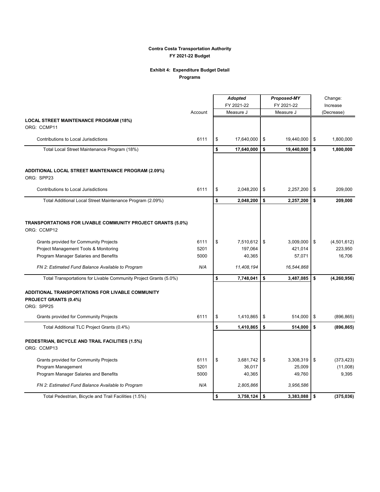#### **Exhibit 4: Expenditure Budget Detail Programs**

|                                                                                         |         | <b>Adopted</b> |                | <b>Proposed-MY</b> |            |      | Change:       |  |  |
|-----------------------------------------------------------------------------------------|---------|----------------|----------------|--------------------|------------|------|---------------|--|--|
|                                                                                         |         |                | FY 2021-22     |                    | FY 2021-22 |      | Increase      |  |  |
|                                                                                         | Account |                | Measure J      |                    | Measure J  |      | (Decrease)    |  |  |
| <b>LOCAL STREET MAINTENANCE PROGRAM (18%)</b><br>ORG: CCMP11                            |         |                |                |                    |            |      |               |  |  |
| Contributions to Local Jurisdictions                                                    | 6111    | \$             | 17,640,000     | \$                 | 19,440,000 | \$   | 1,800,000     |  |  |
| Total Local Street Maintenance Program (18%)                                            |         | \$             | 17,640,000     | \$                 | 19,440,000 | \$   | 1,800,000     |  |  |
| ADDITIONAL LOCAL STREET MAINTENANCE PROGRAM (2.09%)<br>ORG: SPP23                       |         |                |                |                    |            |      |               |  |  |
| Contributions to Local Jurisdictions                                                    | 6111    | \$             | 2,048,200      | \$                 | 2,257,200  | \$   | 209,000       |  |  |
| Total Additional Local Street Maintenance Program (2.09%)                               |         | \$             | 2,048,200      | \$                 | 2,257,200  | \$   | 209,000       |  |  |
| TRANSPORTATIONS FOR LIVABLE COMMUNITY PROJECT GRANTS (5.0%)<br>ORG: CCMP12              |         |                |                |                    |            |      |               |  |  |
| Grants provided for Community Projects                                                  | 6111    | \$             | 7,510,612      | \$                 | 3,009,000  | \$   | (4,501,612)   |  |  |
| Project Management Tools & Monitoring                                                   | 5201    |                | 197,064        |                    | 421,014    |      | 223,950       |  |  |
| Program Manager Salaries and Benefits                                                   | 5000    |                | 40,365         |                    | 57,071     |      | 16,706        |  |  |
| FN 2: Estimated Fund Balance Available to Program                                       | N/A     |                | 11,408,194     |                    | 16,544,868 |      |               |  |  |
| Total Transportations for Livable Community Project Grants (5.0%)                       |         | \$             | 7,748,041      | \$                 | 3,487,085  | \$   | (4, 260, 956) |  |  |
| ADDITIONAL TRANSPORTATIONS FOR LIVABLE COMMUNITY<br>PROJECT GRANTS (0.4%)<br>ORG: SPP25 |         |                |                |                    |            |      |               |  |  |
| <b>Grants provided for Community Projects</b>                                           | 6111    | \$             | 1,410,865      | \$                 | 514,000    | \$   | (896, 865)    |  |  |
| Total Additional TLC Project Grants (0.4%)                                              |         | \$             | 1,410,865      | \$                 | 514,000    | \$   | (896, 865)    |  |  |
| PEDESTRIAN, BICYCLE AND TRAIL FACILITIES (1.5%)<br>ORG: CCMP13                          |         |                |                |                    |            |      |               |  |  |
| <b>Grants provided for Community Projects</b>                                           | 6111    | \$             | 3,681,742      | \$                 | 3,308,319  | \$   | (373, 423)    |  |  |
| Program Management                                                                      | 5201    |                | 36,017         |                    | 25,009     |      | (11,008)      |  |  |
| Program Manager Salaries and Benefits                                                   | 5000    |                | 40,365         |                    | 49,760     |      | 9,395         |  |  |
| FN 2: Estimated Fund Balance Available to Program                                       | N/A     |                | 2,805,866      |                    | 3,956,586  |      |               |  |  |
| Total Pedestrian, Bicycle and Trail Facilities (1.5%)                                   |         | \$             | $3,758,124$ \$ |                    | 3,383,088  | l \$ | (375, 036)    |  |  |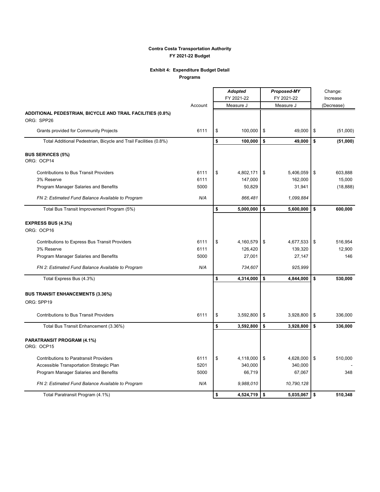### **Exhibit 4: Expenditure Budget Detail**

**Programs**

|                                                                          |         | <b>Adopted</b><br>FY 2021-22 | <b>Proposed-MY</b><br>FY 2021-22 |                | Change:<br>Increase |            |
|--------------------------------------------------------------------------|---------|------------------------------|----------------------------------|----------------|---------------------|------------|
|                                                                          | Account | Measure J                    |                                  | Measure J      |                     | (Decrease) |
| ADDITIONAL PEDESTRIAN, BICYCLE AND TRAIL FACILITIES (0.8%)<br>ORG: SPP26 |         |                              |                                  |                |                     |            |
| <b>Grants provided for Community Projects</b>                            | 6111    | \$<br>100,000                | \$                               | 49,000         | \$                  | (51,000)   |
| Total Additional Pedestrian, Bicycle and Trail Facilities (0.8%)         |         | \$<br>100,000                | \$                               | 49,000         | \$                  | (51,000)   |
| <b>BUS SERVICES (5%)</b><br>ORG: OCP14                                   |         |                              |                                  |                |                     |            |
| <b>Contributions to Bus Transit Providers</b>                            | 6111    | \$<br>4,802,171              | \$                               | 5,406,059      | \$                  | 603,888    |
| 3% Reserve                                                               | 6111    | 147,000                      |                                  | 162,000        |                     | 15,000     |
| Program Manager Salaries and Benefits                                    | 5000    | 50,829                       |                                  | 31,941         |                     | (18, 888)  |
| FN 2: Estimated Fund Balance Available to Program                        | N/A     | 866,481                      |                                  | 1,099,884      |                     |            |
| Total Bus Transit Improvement Program (5%)                               |         | \$<br>5,000,000              | \$                               | 5,600,000      | $\mathbf{s}$        | 600,000    |
| <b>EXPRESS BUS (4.3%)</b><br>ORG: OCP16                                  |         |                              |                                  |                |                     |            |
| <b>Contributions to Express Bus Transit Providers</b>                    | 6111    | \$<br>4,160,579              | \$                               | 4,677,533      | \$                  | 516,954    |
| 3% Reserve                                                               | 6111    | 126,420                      |                                  | 139,320        |                     | 12,900     |
| Program Manager Salaries and Benefits                                    | 5000    | 27,001                       |                                  | 27,147         |                     | 146        |
| FN 2: Estimated Fund Balance Available to Program                        | N/A     | 734,607                      |                                  | 925,999        |                     |            |
| Total Express Bus (4.3%)                                                 |         | \$<br>4,314,000              | \$                               | 4,844,000      | \$                  | 530,000    |
| <b>BUS TRANSIT ENHANCEMENTS (3.36%)</b>                                  |         |                              |                                  |                |                     |            |
| ORG: SPP19                                                               |         |                              |                                  |                |                     |            |
| <b>Contributions to Bus Transit Providers</b>                            | 6111    | \$<br>3,592,800              | \$                               | 3,928,800      | \$                  | 336,000    |
| Total Bus Transit Enhancement (3.36%)                                    |         | \$<br>3,592,800              | \$                               | 3,928,800      | \$                  | 336,000    |
| PARATRANSIT PROGRAM (4.1%)<br>ORG: OCP15                                 |         |                              |                                  |                |                     |            |
| <b>Contributions to Paratransit Providers</b>                            | 6111    | \$<br>4,118,000              | \$                               | 4,628,000      | \$                  | 510,000    |
| Accessible Transportation Strategic Plan                                 | 5201    | 340,000                      |                                  | 340,000        |                     |            |
| Program Manager Salaries and Benefits                                    | 5000    | 66,719                       |                                  | 67,067         |                     | 348        |
| FN 2: Estimated Fund Balance Available to Program                        | N/A     | 9,988,010                    |                                  | 10,790,128     |                     |            |
| Total Paratransit Program (4.1%)                                         |         | \$<br>$4,524,719$ \$         |                                  | $5,035,067$ \$ |                     | 510,348    |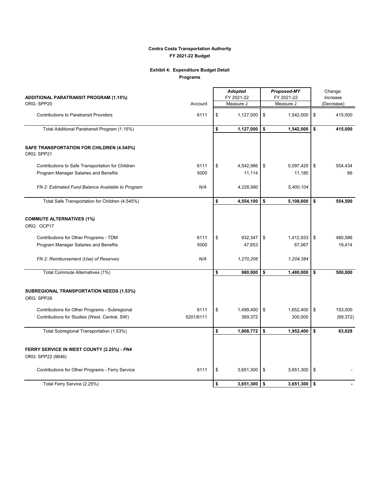### **Exhibit 4: Expenditure Budget Detail**

**Programs**

|                                                         |           |    | <b>Adopted</b> | Proposed-MY |                |    | Change:    |  |  |
|---------------------------------------------------------|-----------|----|----------------|-------------|----------------|----|------------|--|--|
| ADDITIONAL PARATRANSIT PROGRAM (1.15%)                  |           |    | FY 2021-22     |             | FY 2021-22     |    | Increase   |  |  |
| ORG: SPP20                                              | Account   |    | Measure J      |             | Measure J      |    | (Decrease) |  |  |
| <b>Contributions to Paratransit Providers</b>           | 6111      | \$ | 1,127,000      | \$          | 1,542,000      | \$ | 415,000    |  |  |
| Total Additional Paratransit Program (1.15%)            |           | \$ | 1,127,000      | \$          | 1,542,000      | \$ | 415,000    |  |  |
| SAFE TRANSPORTATION FOR CHILDREN (4.545%)<br>ORG: SPP21 |           |    |                |             |                |    |            |  |  |
| Contributions to Safe Transportation for Children       | 6111      | \$ | 4,542,986      | \$          | 5,097,420      | \$ | 554,434    |  |  |
| Program Manager Salaries and Benefits                   | 5000      |    | 11,114         |             | 11,180         |    | 66         |  |  |
| FN 2: Estimated Fund Balance Available to Program       | N/A       |    | 4,226,980      |             | 5,400,104      |    |            |  |  |
| Total Safe Transportation for Children (4.545%)         |           | \$ | 4,554,100      | \$          | 5,108,600      | \$ | 554,500    |  |  |
| <b>COMMUTE ALTERNATIVES (1%)</b><br>ORG: OCP17          |           |    |                |             |                |    |            |  |  |
| Contributions for Other Programs - TDM                  | 6111      | \$ | 932,347        | \$          | 1,412,933      | \$ | 480,586    |  |  |
| Program Manager Salaries and Benefits                   | 5000      |    | 47,653         |             | 67,067         |    | 19,414     |  |  |
| FN 2: Reimbursement (Use) of Reserves                   | N/A       |    | 1,270,206      |             | 1,204,384      |    |            |  |  |
| Total Commute Alternatives (1%)                         |           | \$ | 980,000        | \$          | 1,480,000      | \$ | 500,000    |  |  |
| SUBREGIONAL TRANSPORTATION NEEDS (1.53%)<br>ORG: SPP28  |           |    |                |             |                |    |            |  |  |
| Contributions for Other Programs - Subregional          | 6111      | \$ | 1,499,400      | \$          | 1,652,400      | \$ | 153,000    |  |  |
| Contributions for Studies (West, Central, SW)           | 5201/6111 |    | 369,372        |             | 300,000        |    | (69, 372)  |  |  |
| Total Subregional Transportation (1.53%)                |           | \$ | 1,868,772      | \$          | 1,952,400      | \$ | 83,628     |  |  |
| FERRY SERVICE IN WEST COUNTY (2.25%) - FN4              |           |    |                |             |                |    |            |  |  |
| ORG: SPP22 (9646)                                       |           |    |                |             |                |    |            |  |  |
| Contributions for Other Programs - Ferry Service        | 6111      | \$ | 3,651,300      | \$          | 3,651,300      | \$ |            |  |  |
| Total Ferry Service (2.25%)                             |           | \$ | $3,651,300$ \$ |             | $3,651,300$ \$ |    |            |  |  |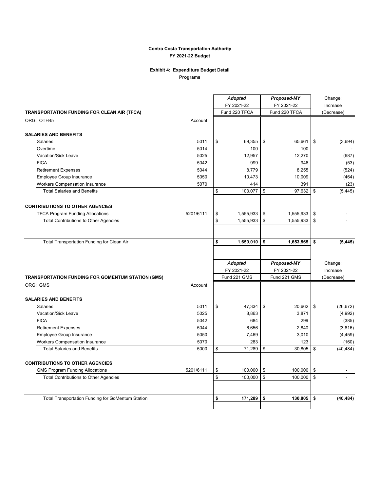#### **Exhibit 4: Expenditure Budget Detail Programs**

|                                                          |           |                         | <b>Adopted</b><br>FY 2021-22 | Proposed-MY<br>FY 2021-22 | Change:<br>Increase |
|----------------------------------------------------------|-----------|-------------------------|------------------------------|---------------------------|---------------------|
| TRANSPORTATION FUNDING FOR CLEAN AIR (TFCA)              |           |                         | Fund 220 TFCA                | Fund 220 TFCA             | (Decrease)          |
| ORG: OTH45                                               | Account   |                         |                              |                           |                     |
| <b>SALARIES AND BENEFITS</b>                             |           |                         |                              |                           |                     |
| <b>Salaries</b>                                          | 5011      | \$                      | 69,355                       | \$<br>65.661              | \$<br>(3,694)       |
| Overtime                                                 | 5014      |                         | 100                          | 100                       |                     |
| <b>Vacation/Sick Leave</b>                               | 5025      |                         | 12,957                       | 12,270                    | (687)               |
| <b>FICA</b>                                              | 5042      |                         | 999                          | 946                       | (53)                |
| <b>Retirement Expenses</b>                               | 5044      |                         | 8,779                        | 8,255                     | (524)               |
| Employee Group Insurance                                 | 5050      |                         | 10,473                       | 10,009                    | (464)               |
| <b>Workers Compensation Insurance</b>                    | 5070      |                         | 414                          | 391                       | (23)                |
| <b>Total Salaries and Benefits</b>                       |           | \$                      | 103,077                      | \$<br>97,632              | \$<br>(5, 445)      |
| <b>CONTRIBUTIONS TO OTHER AGENCIES</b>                   |           |                         |                              |                           |                     |
| <b>TFCA Program Funding Allocations</b>                  | 5201/6111 | \$                      | 1,555,933                    | \$<br>1,555,933           | \$                  |
| <b>Total Contributions to Other Agencies</b>             |           | $\overline{\mathbf{S}}$ | 1,555,933                    | \$<br>1,555,933           | \$                  |
|                                                          |           |                         |                              |                           |                     |
| Total Transportation Funding for Clean Air               |           | \$                      | 1,659,010                    | \$<br>1,653,565           | \$<br>(5, 445)      |
|                                                          |           |                         |                              |                           |                     |
|                                                          |           |                         | <b>Adopted</b>               | Proposed-MY               | Change:             |
|                                                          |           |                         | FY 2021-22                   | FY 2021-22                | Increase            |
| TRANSPORTATION FUNDING FOR GOMENTUM STATION (GMS)        |           |                         | Fund 221 GMS                 | Fund 221 GMS              | (Decrease)          |
| ORG: GMS                                                 | Account   |                         |                              |                           |                     |
| <b>SALARIES AND BENEFITS</b>                             |           |                         |                              |                           |                     |
| <b>Salaries</b>                                          | 5011      | \$                      | 47,334                       | \$<br>20,662              | \$<br>(26, 672)     |
| Vacation/Sick Leave                                      | 5025      |                         | 8,863                        | 3,871                     | (4,992)             |
| <b>FICA</b>                                              | 5042      |                         | 684                          | 299                       | (385)               |
| <b>Retirement Expenses</b>                               | 5044      |                         | 6,656                        | 2,840                     | (3, 816)            |
| Employee Group Insurance                                 | 5050      |                         | 7,469                        | 3,010                     | (4, 459)            |
| <b>Workers Compensation Insurance</b>                    |           |                         |                              | 123                       | (160)               |
|                                                          | 5070      |                         | 283                          |                           |                     |
| <b>Total Salaries and Benefits</b>                       | 5000      | \$                      | 71,289                       | \$<br>30,805              | \$<br>(40, 484)     |
| <b>CONTRIBUTIONS TO OTHER AGENCIES</b>                   |           |                         |                              |                           |                     |
| <b>GMS Program Funding Allocations</b>                   | 5201/6111 | \$                      | 100,000                      | \$<br>100.000             | \$                  |
| <b>Total Contributions to Other Agencies</b>             |           | \$                      | 100,000                      | \$<br>100,000             | \$                  |
|                                                          |           |                         |                              |                           |                     |
| <b>Total Transportation Funding for GoMentum Station</b> |           | \$                      | 171,289                      | \$<br>130,805             | \$<br>(40, 484)     |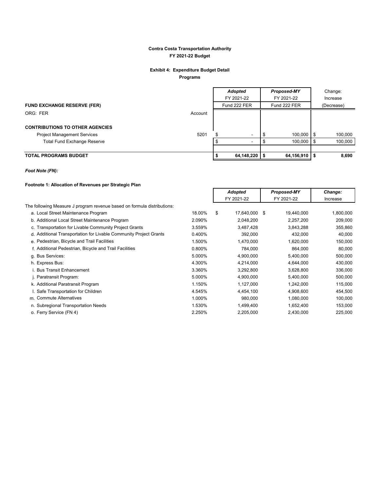### **Exhibit 4: Expenditure Budget Detail**

**Programs**

|                                        |         | <b>Adopted</b>           | Proposed-MY  |      | Change:    |
|----------------------------------------|---------|--------------------------|--------------|------|------------|
|                                        |         | FY 2021-22               | FY 2021-22   |      | Increase   |
| <b>FUND EXCHANGE RESERVE (FER)</b>     |         | Fund 222 FER             | Fund 222 FER |      | (Decrease) |
| ORG: FER                               | Account |                          |              |      |            |
| <b>CONTRIBUTIONS TO OTHER AGENCIES</b> |         |                          |              |      |            |
| <b>Project Management Services</b>     | 5201    |                          | 100,000 \$   |      | 100,000    |
| <b>Total Fund Exchange Reserve</b>     |         | $\overline{\phantom{0}}$ | 100,000 \$   |      | 100,000    |
|                                        |         |                          |              |      |            |
| <b>TOTAL PROGRAMS BUDGET</b>           |         | 64,148,220               | 64,156,910   | - 55 | 8,690      |

### *Foot Note (FN):*

#### **Footnote 1: Allocation of Revenues per Strategic Plan**

|                                                                         |        | Adopted             | <b>Proposed-MY</b> | Change:   |
|-------------------------------------------------------------------------|--------|---------------------|--------------------|-----------|
|                                                                         |        | FY 2021-22          | FY 2021-22         | Increase  |
| The following Measure J program revenue based on formula distributions: |        |                     |                    |           |
| a. Local Street Maintenance Program                                     | 18.00% | \$<br>17,640,000 \$ | 19,440,000         | 1,800,000 |
| b. Additional Local Street Maintenance Program                          | 2.090% | 2,048,200           | 2,257,200          | 209,000   |
| c. Transportation for Livable Community Project Grants                  | 3.559% | 3,487,428           | 3,843,288          | 355,860   |
| d. Additional Transportation for Livable Community Project Grants       | 0.400% | 392,000             | 432,000            | 40,000    |
| e. Pedestrian, Bicycle and Trail Facilities                             | 1.500% | 1,470,000           | 1,620,000          | 150,000   |
| f. Additional Pedestrian, Bicycle and Trail Facilities                  | 0.800% | 784,000             | 864,000            | 80,000    |
| g. Bus Services:                                                        | 5.000% | 4,900,000           | 5,400,000          | 500,000   |
| h. Express Bus:                                                         | 4.300% | 4,214,000           | 4,644,000          | 430,000   |
| i. Bus Transit Enhancement                                              | 3.360% | 3,292,800           | 3,628,800          | 336,000   |
| j. Paratransit Program:                                                 | 5.000% | 4,900,000           | 5,400,000          | 500,000   |
| k. Additional Paratransit Program                                       | 1.150% | 1,127,000           | 1,242,000          | 115,000   |
| I. Safe Transportation for Children                                     | 4.545% | 4,454,100           | 4,908,600          | 454,500   |
| m. Commute Alternatives                                                 | 1.000% | 980,000             | 1,080,000          | 100,000   |
| n. Subregional Transportation Needs                                     | 1.530% | 1,499,400           | 1,652,400          | 153,000   |
| o. Ferry Service (FN 4)                                                 | 2.250% | 2,205,000           | 2,430,000          | 225,000   |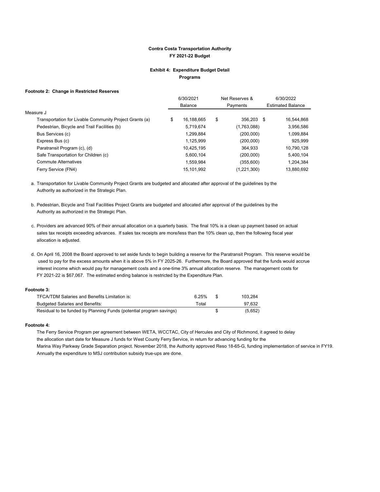#### **Exhibit 4: Expenditure Budget Detail Programs**

#### **Footnote 2: Change in Restricted Reserves**

|                                                         | 6/30/2021        | Net Reserves &   | 6/30/2022                |
|---------------------------------------------------------|------------------|------------------|--------------------------|
|                                                         | <b>Balance</b>   | Payments         | <b>Estimated Balance</b> |
| Measure J                                               |                  |                  |                          |
| Transportation for Livable Community Project Grants (a) | \$<br>16,188,665 | \$<br>356,203 \$ | 16,544,868               |
| Pedestrian, Bicycle and Trail Facilities (b)            | 5,719,674        | (1,763,088)      | 3,956,586                |
| Bus Services (c)                                        | 1,299,884        | (200,000)        | 1,099,884                |
| Express Bus (c)                                         | 1,125,999        | (200,000)        | 925,999                  |
| Paratransit Program (c), (d)                            | 10,425,195       | 364.933          | 10,790,128               |
| Safe Transportation for Children (c)                    | 5,600,104        | (200,000)        | 5,400,104                |
| <b>Commute Alternatives</b>                             | 1,559,984        | (355,600)        | 1,204,384                |
| Ferry Service (FN4)                                     | 15,101,992       | (1,221,300)      | 13.880.692               |
|                                                         |                  |                  |                          |

a. Transportation for Livable Community Project Grants are budgeted and allocated after approval of the guidelines by the Authority as authorized in the Strategic Plan.

- b. Pedestrian, Bicycle and Trail Facilities Project Grants are budgeted and allocated after approval of the guidelines by the Authority as authorized in the Strategic Plan.
- c. Providers are advanced 90% of their annual allocation on a quarterly basis. The final 10% is a clean up payment based on actual sales tax receipts exceeding advances. If sales tax receipts are more/less than the 10% clean up, then the following fiscal year allocation is adjusted.
- d. On April 16, 2008 the Board approved to set aside funds to begin building a reserve for the Paratransit Program. This reserve would be used to pay for the excess amounts when it is above 5% in FY 2025-26. Furthermore, the Board approved that the funds would accrue interest income which would pay for management costs and a one-time 3% annual allocation reserve. The management costs for FY 2021-22 is \$67,067. The estimated ending balance is restricted by the Expenditure Plan.

#### **Footnote 3:**

| <b>TFCA/TDM Salaries and Benefits Limitation is:</b>                | 6.25% | 103.284 |
|---------------------------------------------------------------------|-------|---------|
| <b>Budgeted Salaries and Benefits:</b>                              | Total | 97.632  |
| Residual to be funded by Planning Funds (potential program savings) |       | (5,652) |

#### **Footnote 4:**

The Ferry Service Program per agreement between WETA, WCCTAC, City of Hercules and City of Richmond, it agreed to delay the allocation start date for Measure J funds for West County Ferry Service, in return for advancing funding for the Marina Way Parkway Grade Separation project. November 2018, the Authority approved Reso 18-65-G, funding implementation of service in FY19. Annually the expenditure to MSJ contribution subsidy true-ups are done.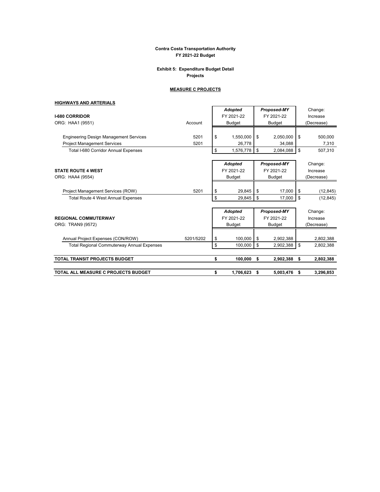#### **Exhibit 5: Expenditure Budget Detail Projects**

#### **MEASURE C PROJECTS**

### **HIGHWAYS AND ARTERIALS**

|                                                   |           | <b>Adopted</b>  |    | Proposed-MY |     | Change:    |
|---------------------------------------------------|-----------|-----------------|----|-------------|-----|------------|
| <b>I-680 CORRIDOR</b>                             |           | FY 2021-22      |    | FY 2021-22  |     | Increase   |
| ORG: HAA1 (9551)                                  | Account   | Budget          |    | Budget      |     | (Decrease) |
|                                                   |           |                 |    |             |     |            |
| <b>Engineering Design Management Services</b>     | 5201      | \$<br>1,550,000 | \$ | 2,050,000   | -\$ | 500,000    |
| <b>Project Management Services</b>                | 5201      | 26,778          |    | 34,088      |     | 7,310      |
| <b>Total I-680 Corridor Annual Expenses</b>       |           | \$<br>1,576,778 | \$ | 2,084,088   | -\$ | 507,310    |
|                                                   |           | <b>Adopted</b>  |    | Proposed-MY |     | Change:    |
| <b>STATE ROUTE 4 WEST</b>                         |           | FY 2021-22      |    | FY 2021-22  |     | Increase   |
| ORG: HAA4 (9554)                                  |           | <b>Budget</b>   |    | Budget      |     | (Decrease) |
|                                                   |           |                 |    |             |     |            |
| Project Management Services (ROW)                 | 5201      | \$<br>29,845    | \$ | 17,000      | \$  | (12, 845)  |
| <b>Total Route 4 West Annual Expenses</b>         |           | \$<br>29,845    | \$ | 17,000      | -\$ | (12, 845)  |
|                                                   |           | <b>Adopted</b>  |    | Proposed-MY |     | Change:    |
| <b>REGIONAL COMMUTERWAY</b>                       |           | FY 2021-22      |    | FY 2021-22  |     | Increase   |
| ORG: TRAN9 (9572)                                 |           | <b>Budget</b>   |    | Budget      |     | (Decrease) |
|                                                   |           |                 |    |             |     |            |
| Annual Project Expenses (CON/ROW)                 | 5201/5202 | \$<br>100.000   | \$ | 2,902,388   |     | 2,802,388  |
| <b>Total Regional Commuterway Annual Expenses</b> |           | \$<br>100,000   | \$ | 2,902,388   | \$  | 2,802,388  |
| <b>TOTAL TRANSIT PROJECTS BUDGET</b>              |           | \$<br>100,000   | s. | 2,902,388   | \$  | 2,802,388  |
|                                                   |           |                 |    |             |     |            |
| TOTAL ALL MEASURE C PROJECTS BUDGET               |           | \$<br>1,706,623 | \$ | 5,003,476   | \$  | 3,296,853  |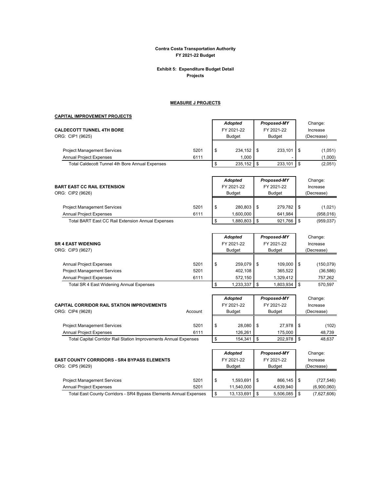#### **Exhibit 5: Expenditure Budget Detail Projects**

#### **MEASURE J PROJECTS**

#### **CAPITAL IMPROVEMENT PROJECTS**

| <b>CALDECOTT TUNNEL 4TH BORE</b>                                 |         | Adopted<br>FY 2021-22 | <b>Proposed-MY</b><br>FY 2021-22 |                | Change:<br>Increase |
|------------------------------------------------------------------|---------|-----------------------|----------------------------------|----------------|---------------------|
| ORG: CIP1 (9625)                                                 |         | <b>Budget</b>         | <b>Budget</b>                    |                | (Decrease)          |
|                                                                  |         |                       |                                  |                |                     |
| <b>Project Management Services</b>                               | 5201    | \$<br>234,152         | \$<br>233,101                    | \$             | (1,051)             |
| <b>Annual Project Expenses</b>                                   | 6111    | 1,000                 |                                  |                | (1,000)             |
| <b>Total Caldecott Tunnel 4th Bore Annual Expenses</b>           |         | \$<br>235,152         | \$<br>233,101                    | \$             | (2,051)             |
|                                                                  |         | <b>Adopted</b>        | Proposed-MY                      |                | Change:             |
| <b>BART EAST CC RAIL EXTENSION</b>                               |         | FY 2021-22            | FY 2021-22                       |                | Increase            |
| ORG: CIP2 (9626)                                                 |         | <b>Budget</b>         | Budget                           |                | (Decrease)          |
| <b>Project Management Services</b>                               | 5201    | \$<br>280.803         | \$<br>279.782                    | \$             | (1,021)             |
| <b>Annual Project Expenses</b>                                   | 6111    | 1,600,000             | 641,984                          |                | (958, 016)          |
| Total BART East CC Rail Extension Annual Expenses                |         | \$<br>1,880,803       | \$<br>921,766                    | \$             | (959, 037)          |
|                                                                  |         |                       |                                  |                |                     |
|                                                                  |         | <b>Adopted</b>        | Proposed-MY                      |                | Change:             |
| <b>SR 4 EAST WIDENING</b>                                        |         | FY 2021-22            | FY 2021-22                       |                | Increase            |
| ORG: CIP3 (9627)                                                 |         | <b>Budget</b>         | <b>Budget</b>                    |                | (Decrease)          |
| <b>Annual Project Expenses</b>                                   | 5201    | \$<br>259,079         | \$<br>109,000                    | \$             | (150, 079)          |
| <b>Project Management Services</b>                               | 5201    | 402,108               | 365,522                          |                | (36, 586)           |
| <b>Annual Project Expenses</b>                                   | 6111    | 572,150               | 1,329,412                        |                | 757,262             |
| <b>Total SR 4 East Widening Annual Expenses</b>                  |         | \$<br>1,233,337       | \$<br>1,803,934                  | $\mathfrak{s}$ | 570,597             |
|                                                                  |         | <b>Adopted</b>        | Proposed-MY                      |                | Change:             |
| <b>CAPITAL CORRIDOR RAIL STATION IMPROVEMENTS</b>                |         | FY 2021-22            | FY 2021-22                       |                | Increase            |
| ORG: CIP4 (9628)                                                 | Account | <b>Budget</b>         | <b>Budget</b>                    |                | (Decrease)          |
|                                                                  |         |                       |                                  |                |                     |
| <b>Project Management Services</b>                               | 5201    | \$<br>28,080          | \$<br>27,978                     | \$             | (102)               |
| Annual Project Expenses                                          | 6111    | 126,261               | 175,000                          |                | 48,739              |
| Total Capital Corridor Rail Station Improvements Annual Expenses |         | \$<br>154,341         | \$<br>202,978                    | \$             | 48,637              |
|                                                                  |         | <b>Adopted</b>        | Proposed-MY                      |                | Change:             |
| <b>EAST COUNTY CORRIDORS - SR4 BYPASS ELEMENTS</b>               |         | FY 2021-22            | FY 2021-22                       |                | Increase            |
| ORG: CIP5 (9629)                                                 |         | <b>Budget</b>         | <b>Budget</b>                    |                | (Decrease)          |
|                                                                  |         |                       |                                  |                |                     |

Project Management Services 6201 \$ 1,593,691 \$ 866,145 \$ (727,546) Annual Project Expenses 201 11,540,000 4,639,940 (6,900,060) Total East County Corridors - SR4 Bypass Elements Annual Expenses  $\boxed{\$ \qquad 13,133,691} \begin{bmatrix} \$ \qquad 5,506,085 \end{bmatrix} \$ \qquad (7,627,606)$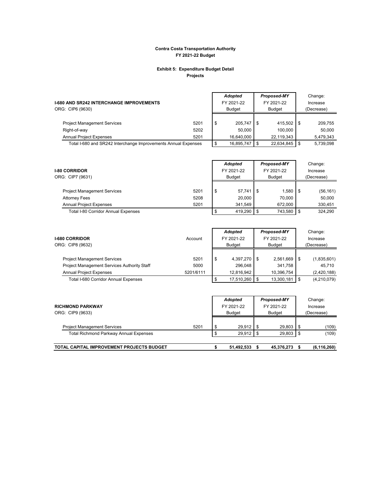#### **Exhibit 5: Expenditure Budget Detail Projects**

| <b>I-680 AND SR242 INTERCHANGE IMPROVEMENTS</b><br>ORG: CIP6 (9630) |      |     | <b>Adopted</b><br>FY 2021-22<br>Budget |     | Proposed-MY<br>FY 2021-22<br><b>Budget</b> | Change:<br>Increase<br>(Decrease) |
|---------------------------------------------------------------------|------|-----|----------------------------------------|-----|--------------------------------------------|-----------------------------------|
| <b>Project Management Services</b>                                  | 5201 | -\$ | 205.747                                | ΙS  | $415.502$ \$                               | 209.755                           |
| Right-of-way                                                        | 5202 |     | 50.000                                 |     | 100.000                                    | 50.000                            |
| <b>Annual Project Expenses</b>                                      | 5201 |     | 16.640.000                             |     | 22.119.343                                 | 5.479.343                         |
| Total I-680 and SR242 Interchange Improvements Annual Expenses      |      |     | 16.895.747                             | l S | 22,634,845 \$                              | 5.739.098                         |

| <b>I-80 CORRIDOR</b><br>ORG: CIP7 (9631)   |      |   | <b>Adopted</b><br>FY 2021-22<br><b>Budget</b> | Proposed-MY<br>FY 2021-22<br><b>Budget</b> | Change:<br>Increase<br>(Decrease) |
|--------------------------------------------|------|---|-----------------------------------------------|--------------------------------------------|-----------------------------------|
| <b>Project Management Services</b>         | 5201 | £ | 57.741                                        | .580                                       | (56, 161)                         |
| <b>Attorney Fees</b>                       | 5208 |   | 20.000                                        | 70.000                                     | 50,000                            |
| <b>Annual Project Expenses</b>             | 5201 |   | 341.549                                       | 672.000                                    | 330,451                           |
| <b>Total I-80 Corridor Annual Expenses</b> |      |   | 419.290                                       | 743.580                                    | 324.290                           |

| Account | Adopted<br>FY 2021-22<br><b>Budget</b> |           | Proposed-MY<br>FY 2021-22<br><b>Budget</b> |           | Change:<br>Increase<br>(Decrease) |                            |
|---------|----------------------------------------|-----------|--------------------------------------------|-----------|-----------------------------------|----------------------------|
| 5201    | \$                                     | 4,397,270 |                                            | 2,561,669 |                                   | (1,835,601)                |
| 5000    |                                        | 296.048   |                                            | 341.758   |                                   | 45.710                     |
|         |                                        |           |                                            |           |                                   | (2,420,188)<br>(4,210,079) |
|         | 5201/6111                              |           | 12.816.942<br>17,510,260                   |           | 10.396.754<br>13,300,181          |                            |

| <b>RICHMOND PARKWAY</b><br>ORG: CIP9 (9633)   |      |   | Adopted<br>FY 2021-22<br><b>Budget</b> | Proposed-MY<br>FY 2021-22<br><b>Budget</b> | Change:<br>Increase<br>(Decrease) |
|-----------------------------------------------|------|---|----------------------------------------|--------------------------------------------|-----------------------------------|
| <b>Project Management Services</b>            | 5201 | S | 29.912                                 | 29.803                                     | (109)                             |
| <b>Total Richmond Parkway Annual Expenses</b> |      |   | 29,912                                 | 29,803                                     | (109)                             |
| TOTAL CAPITAL IMPROVEMENT PROJECTS BUDGET     |      |   | 51,492,533                             | 45,376,273                                 | (6, 116, 260)                     |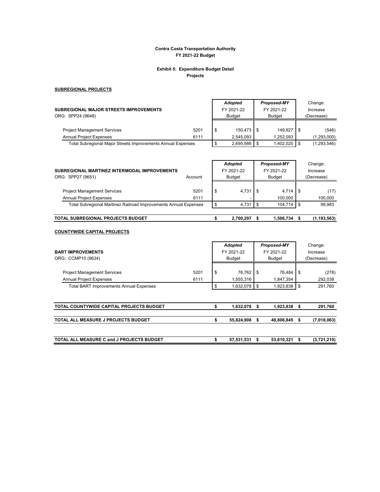#### **Exhibit 5: Expenditure Budget Detail Projects**

#### **SUBREGIONAL PROJECTS**

|                                                              |            | <b>Adopted</b> | <b>Proposed-MY</b> |  | Change:     |
|--------------------------------------------------------------|------------|----------------|--------------------|--|-------------|
| SUBREGIONAL MAJOR STREETS IMPROVEMENTS                       | FY 2021-22 | FY 2021-22     | Increase           |  |             |
| ORG: SPP24 (9648)                                            |            | <b>Budget</b>  | <b>Budget</b>      |  | (Decrease)  |
|                                                              |            |                |                    |  |             |
| <b>Project Management Services</b>                           | 5201       | \$<br>150.473  | 149.927 \$         |  | (546)       |
| <b>Annual Project Expenses</b>                               | 6111       | 2.545.093      | 1.252.093          |  | (1,293,000) |
| Total Subregional Major Streets Improvements Annual Expenses |            | 2.695.566      | 1,402,020          |  | (1,293,546) |

| SUBREGIONAL MARTINEZ INTERMODAL IMPROVEMENTS<br>ORG: SPP27 (9651)    | Account      | <b>Adopted</b><br>FY 2021-22<br><b>Budget</b> | <b>Proposed-MY</b><br>FY 2021-22<br><b>Budget</b> |                  |  | Change:<br>Increase<br>(Decrease) |
|----------------------------------------------------------------------|--------------|-----------------------------------------------|---------------------------------------------------|------------------|--|-----------------------------------|
| <b>Project Management Services</b><br><b>Annual Project Expenses</b> | 5201<br>6111 | \$<br>4,731                                   |                                                   | 4,714<br>100.000 |  | (17)<br>100,000                   |
| Total Subregional Martinez Railroad Improvements Annual Expenses     |              | 4.731                                         |                                                   | 104.714          |  | 99.983                            |
| TOTAL SUBREGIONAL PROJECTS BUDGET                                    |              | 2.700.297                                     |                                                   | 1.506.734        |  | (1, 193, 563)                     |

#### **COUNTYWIDE CAPITAL PROJECTS**

| <b>BART IMPROVEMENTS</b><br>ORG: CCMP10 (9634)                       |              | <b>Adopted</b><br>FY 2021-22<br><b>Budget</b> | Proposed-MY<br>FY 2021-22<br><b>Budget</b> |     |                     | Change:<br>Increase<br>(Decrease) |                  |
|----------------------------------------------------------------------|--------------|-----------------------------------------------|--------------------------------------------|-----|---------------------|-----------------------------------|------------------|
| <b>Project Management Services</b><br><b>Annual Project Expenses</b> | 5201<br>6111 | \$                                            | 76.762<br>1,555,316                        | l S | 76.484<br>1,847,354 |                                   | (278)<br>292,038 |
| <b>Total BART Improvements Annual Expenses</b>                       |              | \$                                            | $1,632,078$ \$                             |     | 1,923,838           | l S                               | 291,760          |
| TOTAL COUNTYWIDE CAPITAL PROJECTS BUDGET                             |              | S                                             | 1,632,078                                  | -S  | 1,923,838           | - 5                               | 291,760          |
| <b>TOTAL ALL MEASURE J PROJECTS BUDGET</b>                           |              | \$                                            | 55,824,908                                 | S   | 48,806,845          | -S                                | (7,018,063)      |
| <b>TOTAL ALL MEASURE C and J PROJECTS BUDGET</b>                     |              | s                                             | 57,531,531                                 | \$  | 53,810,321          | S                                 | (3,721,210)      |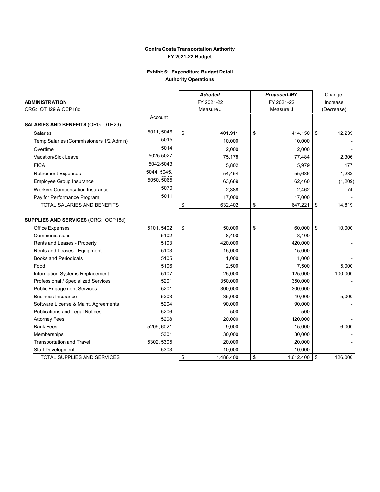### **Exhibit 6: Expenditure Budget Detail Authority Operations**

|                                            |             | <b>Adopted</b>  |    | <b>Proposed-MY</b> | Change:    |          |  |
|--------------------------------------------|-------------|-----------------|----|--------------------|------------|----------|--|
| <b>ADMINISTRATION</b>                      |             | FY 2021-22      |    | FY 2021-22         | Increase   |          |  |
| ORG: OTH29 & OCP18d                        |             | Measure J       |    | Measure J          | (Decrease) |          |  |
|                                            | Account     |                 |    |                    |            |          |  |
| <b>SALARIES AND BENEFITS (ORG: OTH29)</b>  |             |                 |    |                    |            |          |  |
| Salaries                                   | 5011, 5046  | \$<br>401,911   | \$ | 414,150            | \$         | 12,239   |  |
| Temp Salaries (Commissioners 1/2 Admin)    | 5015        | 10,000          |    | 10,000             |            |          |  |
| Overtime                                   | 5014        | 2,000           |    | 2,000              |            |          |  |
| <b>Vacation/Sick Leave</b>                 | 5025-5027   | 75,178          |    | 77,484             |            | 2,306    |  |
| <b>FICA</b>                                | 5042-5043   | 5,802           |    | 5,979              |            | 177      |  |
| <b>Retirement Expenses</b>                 | 5044, 5045, | 54,454          |    | 55,686             |            | 1,232    |  |
| Employee Group Insurance                   | 5050, 5065  | 63,669          |    | 62,460             |            | (1, 209) |  |
| <b>Workers Compensation Insurance</b>      | 5070        | 2,388           |    | 2,462              |            | 74       |  |
| Pay for Performance Program                | 5011        | 17,000          |    | 17,000             |            |          |  |
| TOTAL SALARIES AND BENEFITS                |             | \$<br>632,402   | \$ | 647,221            | \$         | 14,819   |  |
|                                            |             |                 |    |                    |            |          |  |
| <b>SUPPLIES AND SERVICES (ORG: OCP18d)</b> |             |                 |    |                    |            |          |  |
| Office Expenses                            | 5101, 5402  | \$<br>50,000    | \$ | 60,000             | \$         | 10,000   |  |
| Communications                             | 5102        | 8,400           |    | 8,400              |            |          |  |
| Rents and Leases - Property                | 5103        | 420,000         |    | 420,000            |            |          |  |
| Rents and Leases - Equipment               | 5103        | 15,000          |    | 15,000             |            |          |  |
| <b>Books and Periodicals</b>               | 5105        | 1,000           |    | 1,000              |            |          |  |
| Food                                       | 5106        | 2,500           |    | 7,500              |            | 5,000    |  |
| Information Systems Replacement            | 5107        | 25,000          |    | 125,000            |            | 100,000  |  |
| Professional / Specialized Services        | 5201        | 350,000         |    | 350,000            |            |          |  |
| <b>Public Engagement Services</b>          | 5201        | 300,000         |    | 300,000            |            |          |  |
| <b>Business Insurance</b>                  | 5203        | 35,000          |    | 40,000             |            | 5,000    |  |
| Software License & Maint. Agreements       | 5204        | 90,000          |    | 90,000             |            |          |  |
| Publications and Legal Notices             | 5206        | 500             |    | 500                |            |          |  |
| <b>Attorney Fees</b>                       | 5208        | 120,000         |    | 120,000            |            |          |  |
| <b>Bank Fees</b>                           | 5209, 6021  | 9,000           |    | 15,000             |            | 6,000    |  |
| Memberships                                | 5301        | 30,000          |    | 30,000             |            |          |  |
| <b>Transportation and Travel</b>           | 5302, 5305  | 20,000          |    | 20,000             |            |          |  |
| <b>Staff Development</b>                   | 5303        | 10,000          |    | 10,000             |            |          |  |
| TOTAL SUPPLIES AND SERVICES                |             | \$<br>1,486,400 | \$ | 1,612,400          | \$         | 126,000  |  |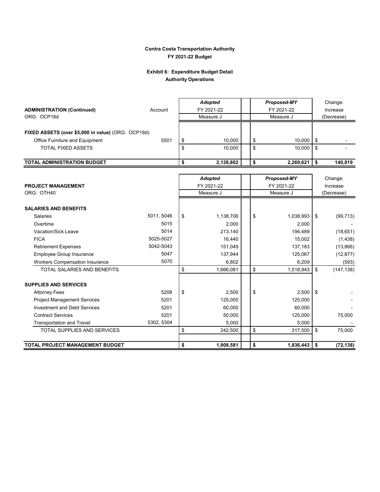### **Exhibit 6: Expenditure Budget Detail Authority Operations**

|                                                    |            | <b>Adopted</b>  | Proposed-MY     |          | Change:    |  |
|----------------------------------------------------|------------|-----------------|-----------------|----------|------------|--|
| <b>ADMINISTRATION (Continued)</b>                  | Account    | FY 2021-22      | FY 2021-22      | Increase |            |  |
| ORG: OCP18d                                        |            | Measure J       | Measure J       |          | (Decrease) |  |
|                                                    |            |                 |                 |          |            |  |
| FIXED ASSETS (over \$5,000 in value) (ORG: OCP18d) |            |                 |                 |          |            |  |
| Office Furniture and Equipment                     | 5501       | \$<br>10,000    | \$<br>10,000    | \$       |            |  |
| <b>TOTAL FIXED ASSETS</b>                          |            | \$<br>10,000    | \$<br>10,000    | \$       |            |  |
|                                                    |            |                 |                 |          |            |  |
| <b>TOTAL ADMINISTRATION BUDGET</b>                 |            | \$<br>2,128,802 | \$<br>2,269,621 | \$       | 140,819    |  |
|                                                    |            |                 |                 |          |            |  |
|                                                    |            | <b>Adopted</b>  | Proposed-MY     |          | Change:    |  |
| <b>PROJECT MANAGEMENT</b>                          |            | FY 2021-22      | FY 2021-22      |          | Increase   |  |
| ORG: OTH40                                         |            | Measure J       | Measure J       |          | (Decrease) |  |
|                                                    |            |                 |                 |          |            |  |
| <b>SALARIES AND BENEFITS</b>                       |            |                 |                 |          |            |  |
| <b>Salaries</b>                                    | 5011, 5046 | \$<br>1,138,706 | \$<br>1,038,993 | \$       | (99, 713)  |  |
| Overtime                                           | 5015       | 2,000           | 2,000           |          |            |  |
| Vacation/Sick Leave                                | 5014       | 213,140         | 194,489         |          | (18,651)   |  |
| <b>FICA</b>                                        | 5025-5027  | 16,440          | 15,002          |          | (1, 438)   |  |
| <b>Retirement Expenses</b>                         | 5042-5043  | 151,049         | 137,183         |          | (13,866)   |  |
| Employee Group Insurance                           | 5047       | 137,944         | 125,067         |          | (12, 877)  |  |
| Workers Compensation Insurance                     | 5070       | 6,802           | 6,209           |          | (593)      |  |
| TOTAL SALARIES AND BENEFITS                        |            | \$<br>1,666,081 | \$<br>1,518,943 | \$       | (147, 138) |  |
|                                                    |            |                 |                 |          |            |  |
| <b>SUPPLIES AND SERVICES</b>                       |            |                 |                 |          |            |  |
| <b>Attorney Fees</b>                               | 5208       | \$<br>2,500     | \$<br>2,500     | \$       |            |  |
| <b>Project Management Services</b>                 | 5201       | 125,000         | 125,000         |          |            |  |
| <b>Investment and Debt Services</b>                | 5201       | 60,000          | 60,000          |          |            |  |
| <b>Contract Services</b>                           | 5201       | 50,000          | 125,000         |          | 75,000     |  |
| <b>Transportation and Travel</b>                   | 5302, 5304 | 5,000           | 5,000           |          |            |  |
| <b>TOTAL SUPPLIES AND SERVICES</b>                 |            | \$<br>242,500   | \$<br>317,500   | \$       | 75,000     |  |
|                                                    |            |                 |                 |          |            |  |
| <b>TOTAL PROJECT MANAGEMENT BUDGET</b>             |            | \$<br>1,908,581 | \$<br>1,836,443 | \$       | (72, 138)  |  |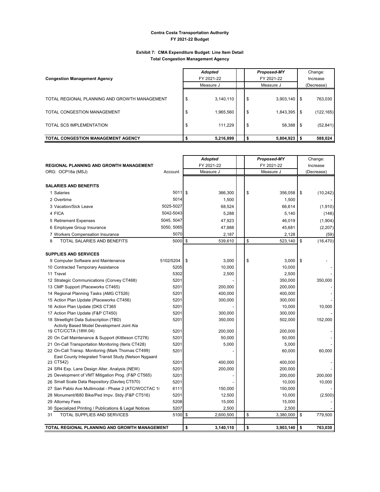#### **Exhibit 7: CMA Expenditure Budget: Line Item Detail Total Congestion Management Agency**

| <b>Congestion Management Agency</b>                                                                      | <b>Adopted</b><br>FY 2021-22                     |                | Proposed-MY<br>FY 2021-22        | Change:<br>Increase |                                    |  |
|----------------------------------------------------------------------------------------------------------|--------------------------------------------------|----------------|----------------------------------|---------------------|------------------------------------|--|
|                                                                                                          | Measure J                                        | Measure J      |                                  |                     | (Decrease)                         |  |
| TOTAL REGIONAL PLANNING AND GROWTH MANAGEMENT<br>TOTAL CONGESTION MANAGEMENT<br>TOTAL SCS IMPLEMENTATION | 3,140,110<br>Φ<br>1,965,560<br>Φ<br>111.229<br>S | \$<br>\$<br>\$ | 3,903,140<br>1,843,395<br>58,388 | \$<br>\$<br>\$.     | 763,030<br>(122, 165)<br>(52, 841) |  |
| <b>TOTAL CONGESTION MANAGEMENT AGENCY</b>                                                                | 5,216,899                                        | \$             | 5,804,923                        |                     | 588,024                            |  |

| <b>REGIONAL PLANNING AND GROWTH MANAGEMENT</b>                                                           |              | <b>Adopted</b><br>FY 2021-22 | <b>Proposed-MY</b><br>FY 2021-22 | Change:<br>Increase |
|----------------------------------------------------------------------------------------------------------|--------------|------------------------------|----------------------------------|---------------------|
| ORG: OCP18a (MSJ)                                                                                        | Account      | Measure J                    | Measure J                        | (Decrease)          |
|                                                                                                          |              |                              |                                  |                     |
| <b>SALARIES AND BENEFITS</b>                                                                             |              |                              |                                  |                     |
| 1 Salaries                                                                                               | $5011$ \$    | 366,300                      | \$<br>356,058                    | \$<br>(10, 242)     |
| 2 Overtime                                                                                               | 5014         | 1,500                        | 1,500                            |                     |
| 3 Vacation/Sick Leave                                                                                    | 5025-5027    | 68,524                       | 66,614                           | (1,910)             |
| 4 FICA                                                                                                   | 5042-5043    | 5,288                        | 5,140                            | (148)               |
| 5 Retirement Expenses                                                                                    | 5045, 5047   | 47,923                       | 46,019                           | (1,904)             |
| 6 Employee Group Insurance                                                                               | 5050, 5065   | 47,888                       | 45,681                           | (2,207)             |
| 7 Workers Compensation Insurance                                                                         | 5070         | 2,187                        | 2,128                            | (59)                |
| TOTAL SALARIES AND BENEFITS<br>8                                                                         | 5000 \$      | 539,610                      | \$<br>523,140                    | \$<br>(16, 470)     |
|                                                                                                          |              |                              |                                  |                     |
| <b>SUPPLIES AND SERVICES</b>                                                                             |              |                              |                                  |                     |
| 9 Computer Software and Maintenance                                                                      | 5102/5204    | \$<br>3,000                  | \$<br>3,000                      | \$                  |
| 10 Contracted Temporary Assistance                                                                       | 5205         | 10,000                       | 10,000                           |                     |
| 11 Travel                                                                                                | 5302         | 2,500                        | 2,500                            |                     |
| 12 Strategic Communications (Convey CT468)                                                               | 5201         |                              | 350,000                          | 350,000             |
| 13 CMP Support (Placeworks CT465)                                                                        | 5201         | 200,000                      | 200,000                          |                     |
| 14 Regional Planning Tasks (AMG CT526)                                                                   | 5201         | 400,000                      | 400,000                          |                     |
| 15 Action Plan Update (Placeworks CT456)                                                                 | 5201         | 300,000                      | 300,000                          |                     |
| 16 Action Plan Update (DKS CT365                                                                         | 5201         |                              | 10,000                           | 10,000              |
| 17 Action Plan Update (F&P CT450)                                                                        | 5201         | 300,000                      | 300,000                          |                     |
| 18 Streetlight Data Subscription (TBD)                                                                   | 5201         | 350,000                      | 502,000                          | 152,000             |
| Activity Based Model Development Joint Ala                                                               |              |                              |                                  |                     |
| 19 CTC/CCTA (18W.04)                                                                                     | 5201         | 200,000                      | 200,000                          |                     |
| 20 On Call Maintenance & Support (Kittleson CT278)                                                       | 5201<br>5201 | 50,000<br>5,000              | 50,000<br>5,000                  |                     |
| 21 On-Call Transportation Monitoring (Iteris CT428)<br>22 On-Call Transp. Monitoring (Mark Thomas CT499) | 5201         |                              | 60,000                           |                     |
| East County Integrated Transit Study (Nelson Nygaard                                                     |              |                              |                                  | 60,000              |
| 23 CT542)                                                                                                | 5201         | 400,000                      | 400,000                          |                     |
| 24 SR4 Exp. Lane Design Alter. Analysis (NEW)                                                            | 5201         | 200,000                      | 200,000                          |                     |
| 25 Development of VMT Mitigation Prog. (F&P CT565)                                                       | 5201         |                              | 200,000                          | 200,000             |
| 26 Small Scale Data Repository (Davteq CT570)                                                            | 5201         |                              | 10,000                           | 10,000              |
| 27 San Pablo Ave Multimodal - Phase 2 (ATC/WCCTAC 1/                                                     | 6111         | 150,000                      | 150,000                          |                     |
| 28 Monument/1680 Bike/Ped Impv. Stdy (F&P CT516)                                                         | 5201         | 12,500                       | 10,000                           | (2,500)             |
| 29 Attorney Fees                                                                                         | 5208         | 15,000                       | 15,000                           |                     |
| 30 Specialized Printing / Publications & Legal Notices                                                   | 5207         | 2,500                        | 2,500                            |                     |
| <b>TOTAL SUPPLIES AND SERVICES</b><br>31                                                                 | 5100 \$      | 2,600,500                    | \$<br>3,380,000                  | \$<br>779,500       |
|                                                                                                          |              |                              |                                  |                     |
| TOTAL REGIONAL PLANNING AND GROWTH MANAGEMENT                                                            |              | \$<br>3,140,110              | \$<br>3,903,140                  | \$<br>763,030       |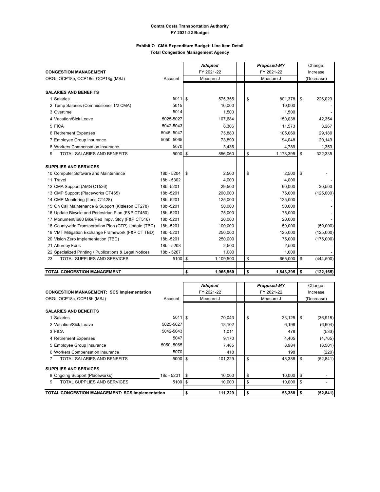#### **Exhibit 7: CMA Expenditure Budget: Line Item Detail Total Congestion Management Agency**

|                                                        |            | <b>Adopted</b>  |           | Proposed-MY | Change:          |  |
|--------------------------------------------------------|------------|-----------------|-----------|-------------|------------------|--|
| <b>CONGESTION MANAGEMENT</b>                           |            | FY 2021-22      |           | FY 2021-22  | Increase         |  |
| ORG: OCP18b, OCP18e, OCP18q (MSJ)                      | Account    | Measure J       | Measure J |             |                  |  |
|                                                        |            |                 |           |             |                  |  |
| <b>SALARIES AND BENEFITS</b>                           |            |                 |           |             |                  |  |
| 1 Salaries                                             | 5011S      | 575,355         | \$        | 801,378     | \$<br>226,023    |  |
| 2 Temp Salaries (Commissioner 1/2 CMA)                 | 5015       | 10,000          |           | 10,000      |                  |  |
| 3 Overtime                                             | 5014       | 1,500           |           | 1,500       |                  |  |
| 4 Vacation/Sick Leave                                  | 5025-5027  | 107,684         |           | 150,038     | 42,354           |  |
| 5 FICA                                                 | 5042-5043  | 8,306           |           | 11,573      | 3,267            |  |
| 6 Retirement Expenses                                  | 5045, 5047 | 75,880          |           | 105,069     | 29,189           |  |
| 7 Employee Group Insurance                             | 5050, 5065 | 73,899          |           | 94,048      | 20,149           |  |
| 8 Workers Compensation Insurance                       | 5070       | 3,436           |           | 4,789       | 1,353            |  |
| TOTAL SALARIES AND BENEFITS<br>9                       | 5000 \$    | 856,060         | \$        | 1,178,395   | \$<br>322,335    |  |
|                                                        |            |                 |           |             |                  |  |
| <b>SUPPLIES AND SERVICES</b>                           |            |                 |           |             |                  |  |
| 10 Computer Software and Maintenance                   | 18b - 5204 | 2,500<br>\$.    | \$        | 2,500       | \$               |  |
| 11 Travel                                              | 18b - 5302 | 4,000           |           | 4.000       |                  |  |
| 12 CMA Support (AMG CT526)                             | 18b-5201   | 29,500          |           | 60,000      | 30,500           |  |
| 13 CMP Support (Placeworks CT465)                      | 18b-5201   | 200,000         |           | 75,000      | (125,000)        |  |
| 14 CMP Monitoring (Iteris CT428)                       | 18b-5201   | 125,000         |           | 125,000     |                  |  |
| 15 On Call Maintenance & Support (Kittleson CT278)     | 18b-5201   | 50,000          |           | 50,000      |                  |  |
| 16 Update Bicycle and Pedestrian Plan (F&P CT450)      | 18b-5201   | 75,000          |           | 75,000      |                  |  |
| 17 Monument/I680 Bike/Ped Impv. Stdy (F&P CT516)       | 18b-5201   | 20,000          |           | 20,000      |                  |  |
| 18 Countywide Transportation Plan (CTP) Update (TBD)   | 18b-5201   | 100,000         |           | 50,000      | (50,000)         |  |
| 19 VMT Mitigation Exchange Framework (F&P CT TBD)      | 18b-5201   | 250,000         |           | 125,000     | (125,000)        |  |
| 20 Vision Zero Implementation (TBD)                    | 18b-5201   | 250,000         |           | 75,000      | (175,000)        |  |
| 21 Attorney Fees                                       | 18b - 5208 | 2,500           |           | 2,500       |                  |  |
| 22 Specialized Printing / Publications & Legal Notices | 18b - 5207 | 1,000           |           | 1,000       |                  |  |
| <b>TOTAL SUPPLIES AND SERVICES</b><br>23               | 5100 \$    | 1,109,500       | \$        | 665,000     | \$<br>(444, 500) |  |
|                                                        |            |                 |           |             |                  |  |
| <b>TOTAL CONGESTION MANAGEMENT</b>                     |            | \$<br>1,965,560 | \$        | 1,843,395   | \$<br>(122, 165) |  |

|                                                  |                   | <b>Adopted</b> |            | <b>Proposed-MY</b> | Change:    |          |            |  |
|--------------------------------------------------|-------------------|----------------|------------|--------------------|------------|----------|------------|--|
| <b>CONGESTION MANAGEMENT: SCS Implementation</b> |                   |                | FY 2021-22 |                    | FY 2021-22 | Increase |            |  |
| ORG: OCP18c, OCP18h (MSJ)                        | Account           | Measure J      |            |                    | Measure J  |          | (Decrease) |  |
|                                                  |                   |                |            |                    |            |          |            |  |
| <b>SALARIES AND BENEFITS</b>                     |                   |                |            |                    |            |          |            |  |
| 1 Salaries                                       | $5011$ \$         |                | 70,043     | \$                 | 33,125     | \$       | (36,918)   |  |
| 2 Vacation/Sick Leave                            | 5025-5027         |                | 13,102     |                    | 6,198      |          | (6,904)    |  |
| 3 FICA                                           | 5042-5043         |                | 1,011      |                    | 478        |          | (533)      |  |
| 4 Retirement Expenses                            | 5047              |                | 9,170      |                    | 4,405      |          | (4, 765)   |  |
| 5 Employee Group Insurance                       | 5050, 5065        |                | 7,485      |                    | 3,984      |          | (3, 501)   |  |
| 6 Workers Compensation Insurance                 | 5070              |                | 418        |                    | 198        |          | (220)      |  |
| TOTAL SALARIES AND BENEFITS                      | $5000$ \$         |                | 101,229    | \$                 | 48,388     | \$       | (52, 841)  |  |
| <b>SUPPLIES AND SERVICES</b>                     |                   |                |            |                    |            |          |            |  |
| 8 Ongoing Support (Placeworks)                   | 18c - 5201        | l \$           | 10,000     | \$                 | 10,000     | \$       |            |  |
| TOTAL SUPPLIES AND SERVICES<br>9                 | $5100$ $\sqrt{3}$ |                | 10,000     | \$                 | 10.000     | \$       |            |  |
| TOTAL CONGESTION MANAGEMENT: SCS Implementation  |                   |                | 111,229    | \$                 | 58,388     | \$       | (52, 841)  |  |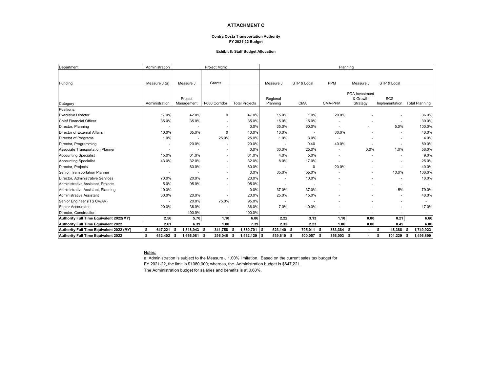#### **ATTACHMENT C**

#### **Contra Costa Transportation Authority FY 2021-22 Budget**

#### **Exhibit 8: Staff Budget Allocation**

| Department                               | Administration |                   | Project Mgmt    |                       | Planning       |             |            |                          |                |                       |  |  |  |
|------------------------------------------|----------------|-------------------|-----------------|-----------------------|----------------|-------------|------------|--------------------------|----------------|-----------------------|--|--|--|
|                                          |                |                   |                 |                       |                |             |            |                          |                |                       |  |  |  |
| Funding                                  | Measure J (a)  | Measure J         | Grants          |                       | Measure J      | STP & Local | <b>PPM</b> | Measure J                | STP & Local    |                       |  |  |  |
|                                          |                |                   |                 |                       |                |             |            |                          |                |                       |  |  |  |
|                                          |                |                   |                 |                       |                |             |            | PDA Investment           |                |                       |  |  |  |
|                                          |                | Project           |                 |                       | Regional       |             |            | & Growth                 | SCS            |                       |  |  |  |
| Category                                 | Administration | Management        | I-680 Corridor  | <b>Total Projects</b> | Planning       | <b>CMA</b>  | CMA-PPM    | Strategy                 | Implementation | <b>Total Planning</b> |  |  |  |
| Positions:                               |                |                   |                 |                       |                |             |            |                          |                |                       |  |  |  |
| <b>Executive Director</b>                | 17.0%          | 42.0%             | 0               | 47.0%                 | 15.0%          | 1.0%        | 20.0%      |                          |                | 36.0%                 |  |  |  |
| <b>Chief Financial Officer</b>           | 35.0%          | 35.0%             |                 | 35.0%                 | 15.0%          | 15.0%       |            |                          |                | 30.0%                 |  |  |  |
| Director, Planning                       |                |                   |                 | 0.0%                  | 35.0%          | 60.0%       |            |                          | 5.0%           | 100.0%                |  |  |  |
| Director of External Affairs             | 10.0%          | 35.0%             | $\mathbf 0$     | 40.0%                 | 10.0%          |             | 30.0%      |                          |                | 40.0%                 |  |  |  |
| Director of Programs                     | 1.0%           |                   | 25.0%           | 25.0%                 | 1.0%           | 3.0%        |            |                          |                | 4.0%                  |  |  |  |
| Director, Programming                    |                | 20.0%             |                 | 20.0%                 |                | 0.40        | 40.0%      |                          |                | 80.0%                 |  |  |  |
| Associate Transportation Planner         |                |                   |                 | 0.0%                  | 30.0%          | 25.0%       |            | 0.0%                     | 1.0%           | 56.0%                 |  |  |  |
| <b>Accounting Specialist</b>             | 15.0%          | 61.0%             |                 | 61.0%                 | 4.0%           | 5.0%        |            |                          |                | 9.0%                  |  |  |  |
| <b>Accounting Specialist</b>             | 43.0%          | 32.0%             |                 | 32.0%                 | 8.0%           | 17.0%       |            |                          |                | 25.0%                 |  |  |  |
| Director, Projects                       |                | 60.0%             |                 | 60.0%                 |                | 0           | 20.0%      |                          |                | 40.0%                 |  |  |  |
| Senior Transportation Planner            |                |                   |                 | 0.0%                  | 35.0%          | 55.0%       |            | $\overline{\phantom{a}}$ | 10.0%          | 100.0%                |  |  |  |
| Director, Administrative Services        | 70.0%          | 20.0%             |                 | 20.0%                 |                | 10.0%       |            |                          |                | 10.0%                 |  |  |  |
| Administrative Assistant, Projects       | 5.0%           | 95.0%             |                 | 95.0%                 |                |             |            |                          |                |                       |  |  |  |
| Administrative Assistant, Planning       | 10.0%          |                   |                 | 0.0%                  | 37.0%          | 37.0%       |            |                          | 5%             | 79.0%                 |  |  |  |
| <b>Administrative Assistant</b>          | 30.0%          | 20.0%             |                 | 20.0%                 | 25.0%          | 15.0%       |            |                          |                | 40.0%                 |  |  |  |
| Senior Engineer (ITS CV/AV)              |                | 20.0%             | 75.0%           | 95.0%                 |                |             |            |                          |                | ٠                     |  |  |  |
| Senior Accountant                        | 20.0%          | 36.0%             |                 | 36.0%                 | 7.0%           | 10.0%       |            |                          |                | 17.0%                 |  |  |  |
| Director, Construction                   |                | 100.0%            |                 | 100.0%                | $\blacksquare$ |             |            |                          |                |                       |  |  |  |
| Authority Full Time Equivalent 2022(MY)  | 2.56           | 5.76              | 1.10            | 6.86                  | 2.22           | 3.13        | 1.10       | 0.00                     | 0.21           | 6.66                  |  |  |  |
| Authority Full Time Equivalent 2022      | 2.61           | 6.39              | 1.00            | 7.39                  | 2.32           | 2.23        | 1.06       | 0.00                     | 0.45           | 6.06                  |  |  |  |
| Authority Full Time Equivalent 2022 (MY) | \$<br>647.221  | 1,518,943<br>- \$ | 341,758<br>- \$ | $1,860,701$ \$        | 523,140 \$     | 795,011 \$  | 383,384 \$ | $\sim$                   | 48,388<br>S.   | 1,749,923<br>-S       |  |  |  |
| Authority Full Time Equivalent 2022      | \$<br>632,402  | 1,666,081<br>l S  | 296,048<br>- \$ | $1,962,129$ \$        | 539,610 \$     | 500,057 \$  | 356,003 \$ | $\sim$                   | 101,229<br>\$  | 1,496,899<br>S.       |  |  |  |

Notes:

a. Administration is subject to the Measure J 1.00% limitation. Based on the current sales tax budget for

FY 2021-22, the limit is \$1080,000; whereas, the Administration budget is \$647,221.

The Administration budget for salaries and benefits is at 0.60%.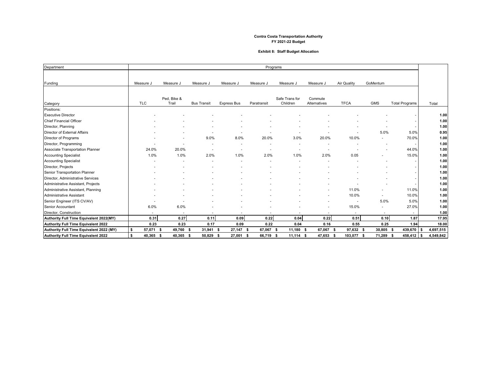#### **Exhibit 8: Staff Budget Allocation**

| Department                               |                 |                          |                    |                    |                          | Programs                   |                          |                    |                          |                       |                  |
|------------------------------------------|-----------------|--------------------------|--------------------|--------------------|--------------------------|----------------------------|--------------------------|--------------------|--------------------------|-----------------------|------------------|
| Funding                                  | Measure J       | Measure J                | Measure J          | Measure J          | Measure J                | Measure J                  | Measure J                | <b>Air Quality</b> | GoMentum                 |                       |                  |
| Category                                 | <b>TLC</b>      | Ped, Bike &<br>Trail     | <b>Bus Transit</b> | <b>Express Bus</b> | Paratransit              | Safe Trans for<br>Children | Commute<br>Alternatives  | <b>TFCA</b>        | <b>GMS</b>               | <b>Total Programs</b> | Total            |
| Positions:                               |                 |                          |                    |                    |                          |                            |                          |                    |                          |                       |                  |
| <b>Executive Director</b>                |                 |                          |                    |                    |                          |                            |                          |                    |                          |                       | 1.00             |
| Chief Financial Officer                  |                 |                          |                    |                    |                          |                            |                          |                    |                          |                       | 1.00             |
| Director, Planning                       |                 |                          |                    |                    |                          |                            |                          |                    |                          |                       | 1.00             |
| Director of External Affairs             |                 |                          |                    |                    |                          |                            |                          |                    | 5.0%                     | 5.0%                  | 0.95             |
| Director of Programs                     |                 |                          | 9.0%               | 8.0%               | 20.0%                    | 3.0%                       | 20.0%                    | 10.0%              |                          | 70.0%                 | 1.00             |
| Director, Programming                    |                 |                          |                    | ٠.                 |                          |                            | ۰.                       |                    |                          |                       | 1.00             |
| Associate Transportation Planner         | 24.0%           | 20.0%                    |                    | ٠                  |                          | $\sim$                     | $\overline{\phantom{a}}$ |                    |                          | 44.0%                 | 1.00             |
| <b>Accounting Specialist</b>             | 1.0%            | 1.0%                     | 2.0%               | 1.0%               | 2.0%                     | 1.0%                       | 2.0%                     | 0.05               |                          | 15.0%                 | 1.00             |
| <b>Accounting Specialist</b>             |                 |                          |                    |                    |                          |                            |                          |                    |                          |                       | 1.00             |
| Director, Projects                       |                 |                          |                    |                    |                          |                            |                          |                    |                          |                       | 1.00             |
| Senior Transportation Planner            |                 |                          |                    |                    |                          |                            |                          |                    |                          |                       | 1.00             |
| Director, Administrative Services        |                 |                          |                    |                    |                          |                            |                          |                    |                          |                       | 1.00             |
| Administrative Assistant, Projects       |                 |                          |                    |                    |                          |                            |                          |                    |                          |                       | 1.00             |
| Administrative Assistant, Planning       |                 |                          |                    |                    |                          |                            |                          | 11.0%              |                          | 11.0%                 | 1.00             |
| Administrative Assistant                 |                 |                          |                    |                    |                          |                            |                          | 10.0%              | $\overline{\phantom{a}}$ | 10.0%                 | 1.00             |
| Senior Engineer (ITS CV/AV)              |                 |                          |                    |                    |                          |                            |                          |                    | 5.0%                     | 5.0%                  | 1.00             |
| Senior Accountant                        | 6.0%            | 6.0%                     |                    |                    |                          |                            | ۰                        | 15.0%              |                          | 27.0%                 | 1.00             |
| Director, Construction                   | $\sim$          | $\overline{\phantom{a}}$ |                    | ٠                  | $\overline{\phantom{a}}$ |                            | $\overline{\phantom{a}}$ | $\sim$             | $\sim$                   | $\sim$                | 1.00             |
| Authority Full Time Equivalent 2022(MY)  | 0.31            | 0.27                     | 0.11               | 0.09               | 0.22                     | 0.04                       | 0.22                     | 0.51               | 0.10                     | 1.87                  | 17.95            |
| Authority Full Time Equivalent 2022      | 0.23            | 0.23                     | 0.17               | 0.09               | 0.22                     | 0.04                       | 0.16                     | 0.55               | 0.25                     | 1.94                  | 18.00            |
| Authority Full Time Equivalent 2022 (MY) | \$<br>57,071    | 49,760<br>- \$           | $31,941$ \$<br>Ŝ.  | $27,147$ \$        | 67,067                   | 11,180 \$<br>-S            | 67,067<br>- \$           | 97,632 \$          | 30,805 \$                | 439,670               | 4,697,515        |
| Authority Full Time Equivalent 2022      | \$<br>40,365 \$ | 40,365 \$                | 50,829             | 27,001 \$<br>- \$  | 66,719                   | -S<br>$11,114$ \$          | 47,653 \$                | 103,077 \$         | 71.289 \$                | 458,412               | 4,549,842<br>l S |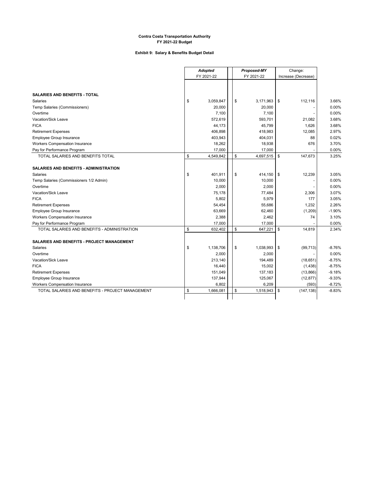#### **Exhibit 9: Salary & Benefits Budget Detail**

 $\overline{a}$ 

| FY 2021-22<br>FY 2021-22<br>Increase (Decrease)<br><b>SALARIES AND BENEFITS - TOTAL</b><br><b>Salaries</b><br>\$<br>3,059,847<br>\$<br>3,171,963<br>\$<br>112,116<br>3.66%<br>20,000<br>20,000<br>0.00%<br>Temp Salaries (Commissioners)<br>0.00%<br>Overtime<br>7,100<br>7,100<br>Vacation/Sick Leave<br>572,619<br>593,701<br>21,082<br><b>FICA</b><br>44,173<br>45,799<br>1,626<br>406,898<br><b>Retirement Expenses</b><br>418,983<br>12,085<br>Employee Group Insurance<br>403,943<br>404,031<br>88<br>Workers Compensation Insurance<br>18,262<br>18,938<br>676<br>Pay for Performance Program<br>17,000<br>17,000<br>\$<br>TOTAL SALARIES AND BENEFITS TOTAL<br>\$<br>\$<br>4,549,842<br>4,697,515<br>147,673<br><b>SALARIES AND BENEFITS - ADMINISTRATION</b><br>\$<br>401,911<br>\$<br>414,150<br>12,239<br>Salaries<br>\$<br>10,000<br>Temp Salaries (Commissioners 1/2 Admin)<br>10,000<br>2,000<br>2,000<br>Overtime<br>Vacation/Sick Leave<br>75,178<br>77,484<br>2,306<br>5,802<br>5,979<br>177<br><b>FICA</b><br>1,232<br><b>Retirement Expenses</b><br>54,454<br>55,686<br>Employee Group Insurance<br>63,669<br>62,460<br>(1, 209)<br>2,388<br>Workers Compensation Insurance<br>2,462<br>74<br>17,000<br>17,000<br>Pay for Performance Program<br>\$<br>TOTAL SALARIES AND BENEFITS - ADMINISTRATION<br>\$<br>632,402<br>\$<br>647,221<br>14,819<br><b>SALARIES AND BENEFITS - PROJECT MANAGEMENT</b><br>Salaries<br>\$<br>1.138.706<br>\$<br>1,038,993<br>\$<br>(99, 713)<br>2,000<br>Overtime<br>2,000<br>Vacation/Sick Leave<br>213,140<br>194,489<br>(18,651)<br><b>FICA</b><br>16,440<br>15,002<br>(1,438)<br><b>Retirement Expenses</b><br>151,049<br>137,183<br>(13,866)<br>Employee Group Insurance<br>137,944<br>125,067<br>(12, 877)<br><b>Workers Compensation Insurance</b><br>6,802<br>6,209<br>(593)<br>\$<br>TOTAL SALARIES AND BENEFITS - PROJECT MANAGEMENT<br>\$<br>\$<br>1,666,081<br>1,518,943<br>(147, 138) |  | <b>Adopted</b> |  | Proposed-MY | Change: |          |
|----------------------------------------------------------------------------------------------------------------------------------------------------------------------------------------------------------------------------------------------------------------------------------------------------------------------------------------------------------------------------------------------------------------------------------------------------------------------------------------------------------------------------------------------------------------------------------------------------------------------------------------------------------------------------------------------------------------------------------------------------------------------------------------------------------------------------------------------------------------------------------------------------------------------------------------------------------------------------------------------------------------------------------------------------------------------------------------------------------------------------------------------------------------------------------------------------------------------------------------------------------------------------------------------------------------------------------------------------------------------------------------------------------------------------------------------------------------------------------------------------------------------------------------------------------------------------------------------------------------------------------------------------------------------------------------------------------------------------------------------------------------------------------------------------------------------------------------------------------------------------------------------------------------------------------------------------|--|----------------|--|-------------|---------|----------|
|                                                                                                                                                                                                                                                                                                                                                                                                                                                                                                                                                                                                                                                                                                                                                                                                                                                                                                                                                                                                                                                                                                                                                                                                                                                                                                                                                                                                                                                                                                                                                                                                                                                                                                                                                                                                                                                                                                                                                    |  |                |  |             |         |          |
|                                                                                                                                                                                                                                                                                                                                                                                                                                                                                                                                                                                                                                                                                                                                                                                                                                                                                                                                                                                                                                                                                                                                                                                                                                                                                                                                                                                                                                                                                                                                                                                                                                                                                                                                                                                                                                                                                                                                                    |  |                |  |             |         |          |
|                                                                                                                                                                                                                                                                                                                                                                                                                                                                                                                                                                                                                                                                                                                                                                                                                                                                                                                                                                                                                                                                                                                                                                                                                                                                                                                                                                                                                                                                                                                                                                                                                                                                                                                                                                                                                                                                                                                                                    |  |                |  |             |         |          |
|                                                                                                                                                                                                                                                                                                                                                                                                                                                                                                                                                                                                                                                                                                                                                                                                                                                                                                                                                                                                                                                                                                                                                                                                                                                                                                                                                                                                                                                                                                                                                                                                                                                                                                                                                                                                                                                                                                                                                    |  |                |  |             |         |          |
|                                                                                                                                                                                                                                                                                                                                                                                                                                                                                                                                                                                                                                                                                                                                                                                                                                                                                                                                                                                                                                                                                                                                                                                                                                                                                                                                                                                                                                                                                                                                                                                                                                                                                                                                                                                                                                                                                                                                                    |  |                |  |             |         |          |
|                                                                                                                                                                                                                                                                                                                                                                                                                                                                                                                                                                                                                                                                                                                                                                                                                                                                                                                                                                                                                                                                                                                                                                                                                                                                                                                                                                                                                                                                                                                                                                                                                                                                                                                                                                                                                                                                                                                                                    |  |                |  |             |         |          |
|                                                                                                                                                                                                                                                                                                                                                                                                                                                                                                                                                                                                                                                                                                                                                                                                                                                                                                                                                                                                                                                                                                                                                                                                                                                                                                                                                                                                                                                                                                                                                                                                                                                                                                                                                                                                                                                                                                                                                    |  |                |  |             |         |          |
|                                                                                                                                                                                                                                                                                                                                                                                                                                                                                                                                                                                                                                                                                                                                                                                                                                                                                                                                                                                                                                                                                                                                                                                                                                                                                                                                                                                                                                                                                                                                                                                                                                                                                                                                                                                                                                                                                                                                                    |  |                |  |             |         | 3.68%    |
|                                                                                                                                                                                                                                                                                                                                                                                                                                                                                                                                                                                                                                                                                                                                                                                                                                                                                                                                                                                                                                                                                                                                                                                                                                                                                                                                                                                                                                                                                                                                                                                                                                                                                                                                                                                                                                                                                                                                                    |  |                |  |             |         | 3.68%    |
|                                                                                                                                                                                                                                                                                                                                                                                                                                                                                                                                                                                                                                                                                                                                                                                                                                                                                                                                                                                                                                                                                                                                                                                                                                                                                                                                                                                                                                                                                                                                                                                                                                                                                                                                                                                                                                                                                                                                                    |  |                |  |             |         | 2.97%    |
|                                                                                                                                                                                                                                                                                                                                                                                                                                                                                                                                                                                                                                                                                                                                                                                                                                                                                                                                                                                                                                                                                                                                                                                                                                                                                                                                                                                                                                                                                                                                                                                                                                                                                                                                                                                                                                                                                                                                                    |  |                |  |             |         | 0.02%    |
|                                                                                                                                                                                                                                                                                                                                                                                                                                                                                                                                                                                                                                                                                                                                                                                                                                                                                                                                                                                                                                                                                                                                                                                                                                                                                                                                                                                                                                                                                                                                                                                                                                                                                                                                                                                                                                                                                                                                                    |  |                |  |             |         | 3.70%    |
|                                                                                                                                                                                                                                                                                                                                                                                                                                                                                                                                                                                                                                                                                                                                                                                                                                                                                                                                                                                                                                                                                                                                                                                                                                                                                                                                                                                                                                                                                                                                                                                                                                                                                                                                                                                                                                                                                                                                                    |  |                |  |             |         | 0.00%    |
|                                                                                                                                                                                                                                                                                                                                                                                                                                                                                                                                                                                                                                                                                                                                                                                                                                                                                                                                                                                                                                                                                                                                                                                                                                                                                                                                                                                                                                                                                                                                                                                                                                                                                                                                                                                                                                                                                                                                                    |  |                |  |             |         | 3.25%    |
|                                                                                                                                                                                                                                                                                                                                                                                                                                                                                                                                                                                                                                                                                                                                                                                                                                                                                                                                                                                                                                                                                                                                                                                                                                                                                                                                                                                                                                                                                                                                                                                                                                                                                                                                                                                                                                                                                                                                                    |  |                |  |             |         |          |
|                                                                                                                                                                                                                                                                                                                                                                                                                                                                                                                                                                                                                                                                                                                                                                                                                                                                                                                                                                                                                                                                                                                                                                                                                                                                                                                                                                                                                                                                                                                                                                                                                                                                                                                                                                                                                                                                                                                                                    |  |                |  |             |         |          |
|                                                                                                                                                                                                                                                                                                                                                                                                                                                                                                                                                                                                                                                                                                                                                                                                                                                                                                                                                                                                                                                                                                                                                                                                                                                                                                                                                                                                                                                                                                                                                                                                                                                                                                                                                                                                                                                                                                                                                    |  |                |  |             |         | 3.05%    |
|                                                                                                                                                                                                                                                                                                                                                                                                                                                                                                                                                                                                                                                                                                                                                                                                                                                                                                                                                                                                                                                                                                                                                                                                                                                                                                                                                                                                                                                                                                                                                                                                                                                                                                                                                                                                                                                                                                                                                    |  |                |  |             |         | 0.00%    |
|                                                                                                                                                                                                                                                                                                                                                                                                                                                                                                                                                                                                                                                                                                                                                                                                                                                                                                                                                                                                                                                                                                                                                                                                                                                                                                                                                                                                                                                                                                                                                                                                                                                                                                                                                                                                                                                                                                                                                    |  |                |  |             |         | 0.00%    |
|                                                                                                                                                                                                                                                                                                                                                                                                                                                                                                                                                                                                                                                                                                                                                                                                                                                                                                                                                                                                                                                                                                                                                                                                                                                                                                                                                                                                                                                                                                                                                                                                                                                                                                                                                                                                                                                                                                                                                    |  |                |  |             |         | 3.07%    |
|                                                                                                                                                                                                                                                                                                                                                                                                                                                                                                                                                                                                                                                                                                                                                                                                                                                                                                                                                                                                                                                                                                                                                                                                                                                                                                                                                                                                                                                                                                                                                                                                                                                                                                                                                                                                                                                                                                                                                    |  |                |  |             |         | 3.05%    |
|                                                                                                                                                                                                                                                                                                                                                                                                                                                                                                                                                                                                                                                                                                                                                                                                                                                                                                                                                                                                                                                                                                                                                                                                                                                                                                                                                                                                                                                                                                                                                                                                                                                                                                                                                                                                                                                                                                                                                    |  |                |  |             |         | 2.26%    |
|                                                                                                                                                                                                                                                                                                                                                                                                                                                                                                                                                                                                                                                                                                                                                                                                                                                                                                                                                                                                                                                                                                                                                                                                                                                                                                                                                                                                                                                                                                                                                                                                                                                                                                                                                                                                                                                                                                                                                    |  |                |  |             |         | $-1.90%$ |
|                                                                                                                                                                                                                                                                                                                                                                                                                                                                                                                                                                                                                                                                                                                                                                                                                                                                                                                                                                                                                                                                                                                                                                                                                                                                                                                                                                                                                                                                                                                                                                                                                                                                                                                                                                                                                                                                                                                                                    |  |                |  |             |         | 3.10%    |
|                                                                                                                                                                                                                                                                                                                                                                                                                                                                                                                                                                                                                                                                                                                                                                                                                                                                                                                                                                                                                                                                                                                                                                                                                                                                                                                                                                                                                                                                                                                                                                                                                                                                                                                                                                                                                                                                                                                                                    |  |                |  |             |         | 0.00%    |
|                                                                                                                                                                                                                                                                                                                                                                                                                                                                                                                                                                                                                                                                                                                                                                                                                                                                                                                                                                                                                                                                                                                                                                                                                                                                                                                                                                                                                                                                                                                                                                                                                                                                                                                                                                                                                                                                                                                                                    |  |                |  |             |         | 2.34%    |
|                                                                                                                                                                                                                                                                                                                                                                                                                                                                                                                                                                                                                                                                                                                                                                                                                                                                                                                                                                                                                                                                                                                                                                                                                                                                                                                                                                                                                                                                                                                                                                                                                                                                                                                                                                                                                                                                                                                                                    |  |                |  |             |         |          |
|                                                                                                                                                                                                                                                                                                                                                                                                                                                                                                                                                                                                                                                                                                                                                                                                                                                                                                                                                                                                                                                                                                                                                                                                                                                                                                                                                                                                                                                                                                                                                                                                                                                                                                                                                                                                                                                                                                                                                    |  |                |  |             |         | $-8.76%$ |
|                                                                                                                                                                                                                                                                                                                                                                                                                                                                                                                                                                                                                                                                                                                                                                                                                                                                                                                                                                                                                                                                                                                                                                                                                                                                                                                                                                                                                                                                                                                                                                                                                                                                                                                                                                                                                                                                                                                                                    |  |                |  |             |         | 0.00%    |
|                                                                                                                                                                                                                                                                                                                                                                                                                                                                                                                                                                                                                                                                                                                                                                                                                                                                                                                                                                                                                                                                                                                                                                                                                                                                                                                                                                                                                                                                                                                                                                                                                                                                                                                                                                                                                                                                                                                                                    |  |                |  |             |         | $-8.75%$ |
|                                                                                                                                                                                                                                                                                                                                                                                                                                                                                                                                                                                                                                                                                                                                                                                                                                                                                                                                                                                                                                                                                                                                                                                                                                                                                                                                                                                                                                                                                                                                                                                                                                                                                                                                                                                                                                                                                                                                                    |  |                |  |             |         | $-8.75%$ |
|                                                                                                                                                                                                                                                                                                                                                                                                                                                                                                                                                                                                                                                                                                                                                                                                                                                                                                                                                                                                                                                                                                                                                                                                                                                                                                                                                                                                                                                                                                                                                                                                                                                                                                                                                                                                                                                                                                                                                    |  |                |  |             |         | $-9.18%$ |
|                                                                                                                                                                                                                                                                                                                                                                                                                                                                                                                                                                                                                                                                                                                                                                                                                                                                                                                                                                                                                                                                                                                                                                                                                                                                                                                                                                                                                                                                                                                                                                                                                                                                                                                                                                                                                                                                                                                                                    |  |                |  |             |         | $-9.33%$ |
|                                                                                                                                                                                                                                                                                                                                                                                                                                                                                                                                                                                                                                                                                                                                                                                                                                                                                                                                                                                                                                                                                                                                                                                                                                                                                                                                                                                                                                                                                                                                                                                                                                                                                                                                                                                                                                                                                                                                                    |  |                |  |             |         | $-8.72%$ |
|                                                                                                                                                                                                                                                                                                                                                                                                                                                                                                                                                                                                                                                                                                                                                                                                                                                                                                                                                                                                                                                                                                                                                                                                                                                                                                                                                                                                                                                                                                                                                                                                                                                                                                                                                                                                                                                                                                                                                    |  |                |  |             |         | $-8.83%$ |
|                                                                                                                                                                                                                                                                                                                                                                                                                                                                                                                                                                                                                                                                                                                                                                                                                                                                                                                                                                                                                                                                                                                                                                                                                                                                                                                                                                                                                                                                                                                                                                                                                                                                                                                                                                                                                                                                                                                                                    |  |                |  |             |         |          |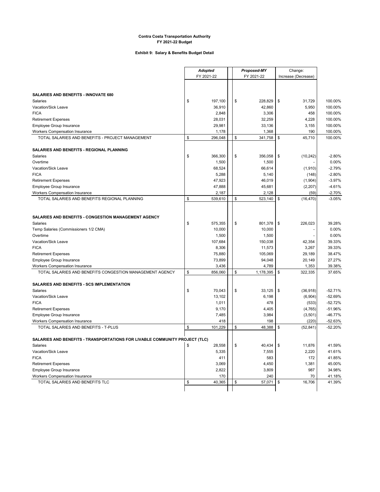#### **Exhibit 9: Salary & Benefits Budget Detail**

 $\overline{a}$ 

|                                                                             | <b>Adopted</b> |         | Proposed-MY     |    | Change:             |           |
|-----------------------------------------------------------------------------|----------------|---------|-----------------|----|---------------------|-----------|
|                                                                             | FY 2021-22     |         | FY 2021-22      |    | Increase (Decrease) |           |
|                                                                             |                |         |                 |    |                     |           |
|                                                                             |                |         |                 |    |                     |           |
| SALARIES AND BENEFITS - INNOVATE 680                                        |                |         |                 |    |                     |           |
| <b>Salaries</b>                                                             | \$             | 197,100 | \$<br>228.829   | \$ | 31.729              | 100.00%   |
| Vacation/Sick Leave                                                         |                | 36,910  | 42,860          |    | 5,950               | 100.00%   |
| <b>FICA</b>                                                                 |                | 2,848   | 3,306           |    | 458                 | 100.00%   |
| <b>Retirement Expenses</b>                                                  |                | 28,031  | 32,259          |    | 4,228               | 100.00%   |
| Employee Group Insurance                                                    |                | 29,981  | 33,136          |    | 3,155               | 100.00%   |
| Workers Compensation Insurance                                              |                | 1,178   | 1,368           |    | 190                 | 100.00%   |
| TOTAL SALARIES AND BENEFITS - PROJECT MANAGEMENT                            | \$             | 296,048 | \$<br>341,758   | \$ | 45,710              | 100.00%   |
|                                                                             |                |         |                 |    |                     |           |
|                                                                             |                |         |                 |    |                     |           |
| SALARIES AND BENEFITS - REGIONAL PLANNING                                   |                |         |                 |    |                     |           |
| Salaries                                                                    | \$             | 366,300 | \$<br>356,058   | \$ | (10, 242)           | $-2.80%$  |
| Overtime                                                                    |                | 1,500   | 1,500           |    |                     | 0.00%     |
| Vacation/Sick Leave                                                         |                | 68,524  | 66,614          |    | (1,910)             | $-2.79%$  |
| <b>FICA</b>                                                                 |                | 5,288   | 5,140           |    | (148)               | $-2.80%$  |
| <b>Retirement Expenses</b>                                                  |                | 47,923  | 46,019          |    | (1,904)             | $-3.97%$  |
| Employee Group Insurance                                                    |                | 47,888  | 45,681          |    | (2, 207)            | $-4.61%$  |
| Workers Compensation Insurance                                              |                | 2,187   | 2,128           |    | (59)                | $-2.70%$  |
| TOTAL SALARIES AND BENEFITS REGIONAL PLANNING                               | \$             | 539,610 | \$<br>523,140   | \$ | (16, 470)           | $-3.05%$  |
|                                                                             |                |         |                 |    |                     |           |
|                                                                             |                |         |                 |    |                     |           |
| SALARIES AND BENEFITS - CONGESTION MANAGEMENT AGENCY                        |                |         |                 |    |                     |           |
| <b>Salaries</b>                                                             | \$             | 575,355 | \$<br>801,378   | \$ | 226,023             | 39.28%    |
| Temp Salaries (Commissioners 1/2 CMA)                                       |                | 10,000  | 10,000          |    |                     | 0.00%     |
| Overtime                                                                    |                |         |                 |    |                     | 0.00%     |
|                                                                             |                | 1,500   | 1,500           |    |                     |           |
| Vacation/Sick Leave                                                         |                | 107,684 | 150,038         |    | 42,354              | 39.33%    |
| <b>FICA</b>                                                                 |                | 8,306   | 11,573          |    | 3,267               | 39.33%    |
| <b>Retirement Expenses</b>                                                  |                | 75,880  | 105,069         |    | 29,189              | 38.47%    |
| Employee Group Insurance                                                    |                | 73,899  | 94,048          |    | 20,149              | 27.27%    |
| <b>Workers Compensation Insurance</b>                                       |                | 3,436   | 4,789           |    | 1,353               | 39.38%    |
| TOTAL SALARIES AND BENEFITS CONGESTION MANAGEMENT AGENCY                    | \$             | 856,060 | \$<br>1,178,395 | \$ | 322,335             | 37.65%    |
|                                                                             |                |         |                 |    |                     |           |
| SALARIES AND BENEFITS - SCS IMPLEMENTATION                                  |                |         |                 |    |                     |           |
| <b>Salaries</b>                                                             | \$             | 70,043  | \$<br>33,125    | \$ | (36, 918)           | $-52.71%$ |
| Vacation/Sick Leave                                                         |                | 13,102  | 6,198           |    | (6,904)             | $-52.69%$ |
| <b>FICA</b>                                                                 |                | 1,011   | 478             |    | (533)               | $-52.72%$ |
| <b>Retirement Expenses</b>                                                  |                | 9,170   | 4,405           |    | (4, 765)            | $-51.96%$ |
| Employee Group Insurance                                                    |                | 7,485   | 3,984           |    | (3, 501)            | $-46.77%$ |
| <b>Workers Compensation Insurance</b>                                       |                | 418     | 198             |    | (220)               | $-52.63%$ |
| TOTAL SALARIES AND BENEFITS - T-PLUS                                        | \$             | 101,229 | \$<br>48,388    | \$ | (52, 841)           | $-52.20%$ |
|                                                                             |                |         |                 |    |                     |           |
| SALARIES AND BENEFITS - TRANSPORTATIONS FOR LIVABLE COMMUNITY PROJECT (TLC) |                |         |                 |    |                     |           |
|                                                                             |                |         |                 |    |                     |           |
| <b>Salaries</b>                                                             | \$             | 28,558  | 40,434<br>\$    | \$ | 11,876              | 41.59%    |
| Vacation/Sick Leave                                                         |                | 5,335   | 7,555           |    | 2,220               | 41.61%    |
| <b>FICA</b>                                                                 |                | 411     | 583             |    | 172                 | 41.85%    |
| <b>Retirement Expenses</b>                                                  |                | 3,069   | 4,450           |    | 1,381               | 45.00%    |
| Employee Group Insurance                                                    |                | 2,822   | 3,809           |    | 987                 | 34.98%    |
| <b>Workers Compensation Insurance</b>                                       |                | 170     | 240             |    | 70                  | 41.18%    |
| TOTAL SALARIES AND BENEFITS TLC                                             | \$             | 40,365  | \$<br>57,071    | \$ | 16,706              | 41.39%    |
|                                                                             |                |         |                 |    |                     |           |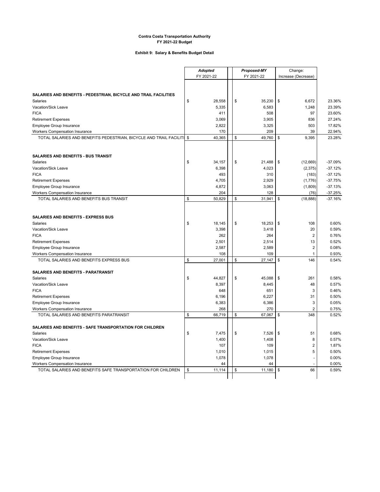#### **Exhibit 9: Salary & Benefits Budget Detail**

|                                                                       | <b>Adopted</b> |        | Proposed-MY |            | Change: |                     |                |           |
|-----------------------------------------------------------------------|----------------|--------|-------------|------------|---------|---------------------|----------------|-----------|
|                                                                       | FY 2021-22     |        |             | FY 2021-22 |         | Increase (Decrease) |                |           |
|                                                                       |                |        |             |            |         |                     |                |           |
|                                                                       |                |        |             |            |         |                     |                |           |
| SALARIES AND BENEFITS - PEDESTRIAN, BICYCLE AND TRAIL FACILITIES      |                |        |             |            |         |                     |                |           |
| <b>Salaries</b>                                                       | \$             | 28,558 |             | \$         | 35,230  | \$                  | 6,672          | 23.36%    |
| Vacation/Sick Leave                                                   |                | 5,335  |             |            | 6,583   |                     | 1,248          | 23.39%    |
| <b>FICA</b>                                                           |                | 411    |             |            | 508     |                     | 97             | 23.60%    |
| <b>Retirement Expenses</b>                                            |                | 3,069  |             |            | 3,905   |                     | 836            | 27.24%    |
| Employee Group Insurance                                              |                | 2,822  |             |            | 3,325   |                     | 503            | 17.82%    |
| <b>Workers Compensation Insurance</b>                                 |                | 170    |             |            | 209     |                     | 39             | 22.94%    |
| TOTAL SALARIES AND BENEFITS PEDESTRIAN, BICYCLE AND TRAIL FACILITI \$ |                | 40,365 |             | \$         | 49,760  | \$                  | 9,395          | 23.28%    |
|                                                                       |                |        |             |            |         |                     |                |           |
|                                                                       |                |        |             |            |         |                     |                |           |
| <b>SALARIES AND BENEFITS - BUS TRANSIT</b>                            |                |        |             |            |         |                     |                |           |
| <b>Salaries</b>                                                       | \$             | 34,157 |             | \$         | 21,488  | \$                  | (12,669)       | $-37.09%$ |
| Vacation/Sick Leave                                                   |                | 6,398  |             |            | 4,023   |                     | (2,375)        | $-37.12%$ |
| <b>FICA</b>                                                           |                | 493    |             |            | 310     |                     | (183)          | $-37.12%$ |
| <b>Retirement Expenses</b>                                            |                | 4,705  |             |            | 2,929   |                     | (1,776)        | $-37.75%$ |
| Employee Group Insurance                                              |                | 4,872  |             |            | 3,063   |                     | (1,809)        | $-37.13%$ |
| <b>Workers Compensation Insurance</b>                                 |                | 204    |             |            | 128     |                     | (76)           | $-37.25%$ |
| TOTAL SALARIES AND BENEFITS BUS TRANSIT                               | \$             | 50,829 |             | \$         | 31,941  | \$                  | (18, 888)      | $-37.16%$ |
|                                                                       |                |        |             |            |         |                     |                |           |
|                                                                       |                |        |             |            |         |                     |                |           |
| <b>SALARIES AND BENEFITS - EXPRESS BUS</b>                            |                |        |             |            |         |                     |                |           |
| <b>Salaries</b>                                                       | \$             | 18,145 |             | \$         | 18,253  | \$                  | 108            | 0.60%     |
| Vacation/Sick Leave                                                   |                | 3,398  |             |            | 3,418   |                     | 20             | 0.59%     |
| <b>FICA</b>                                                           |                | 262    |             |            | 264     |                     | $\overline{2}$ | 0.76%     |
| <b>Retirement Expenses</b>                                            |                | 2,501  |             |            | 2,514   |                     | 13             | 0.52%     |
| Employee Group Insurance                                              |                | 2,587  |             |            | 2,589   |                     | $\overline{2}$ | 0.08%     |
| Workers Compensation Insurance                                        |                | 108    |             |            | 109     |                     | $\mathbf{1}$   | 0.93%     |
| TOTAL SALARIES AND BENEFITS EXPRESS BUS                               | \$             | 27,001 |             | \$         | 27,147  | \$                  | 146            | 0.54%     |
| <b>SALARIES AND BENEFITS - PARATRANSIT</b>                            |                |        |             |            |         |                     |                |           |
| <b>Salaries</b>                                                       | \$             | 44,827 |             | \$         | 45,088  | \$                  | 261            | 0.58%     |
| Vacation/Sick Leave                                                   |                | 8,397  |             |            | 8,445   |                     | 48             | 0.57%     |
| <b>FICA</b>                                                           |                | 648    |             |            | 651     |                     | 3              | 0.46%     |
| <b>Retirement Expenses</b>                                            |                | 6,196  |             |            | 6,227   |                     | 31             | 0.50%     |
| Employee Group Insurance                                              |                | 6,383  |             |            | 6,386   |                     | 3              | 0.05%     |
| <b>Workers Compensation Insurance</b>                                 |                | 268    |             |            | 270     |                     | $\overline{2}$ | 0.75%     |
| TOTAL SALARIES AND BENEFITS PARATRANSIT                               | \$             | 66,719 |             | \$         | 67,067  | \$                  | 348            | 0.52%     |
|                                                                       |                |        |             |            |         |                     |                |           |
| SALARIES AND BENEFITS - SAFE TRANSPORTATION FOR CHILDREN              |                |        |             |            |         |                     |                |           |
| Salaries                                                              | \$             | 7,475  |             | \$         | 7,526   | \$                  | 51             | 0.68%     |
| Vacation/Sick Leave                                                   |                | 1,400  |             |            | 1,408   |                     | 8              | 0.57%     |
| <b>FICA</b>                                                           |                | 107    |             |            | 109     |                     | $\overline{2}$ | 1.87%     |
| <b>Retirement Expenses</b>                                            |                | 1,010  |             |            | 1,015   |                     | 5              | 0.50%     |
| Employee Group Insurance                                              |                | 1,078  |             |            | 1,078   |                     | L              | 0.00%     |
| <b>Workers Compensation Insurance</b>                                 |                | 44     |             |            | 44      |                     |                | 0.00%     |
| TOTAL SALARIES AND BENEFITS SAFE TRANSPORTATION FOR CHILDREN          | \$             | 11,114 |             | \$         | 11,180  | \$                  | 66             | 0.59%     |
|                                                                       |                |        |             |            |         |                     |                |           |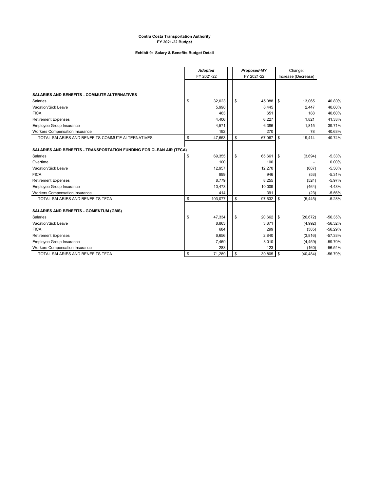#### **Exhibit 9: Salary & Benefits Budget Detail**

|                                                                     | Adopted    |         | Proposed-MY |            |        | Change:             |           |           |
|---------------------------------------------------------------------|------------|---------|-------------|------------|--------|---------------------|-----------|-----------|
|                                                                     | FY 2021-22 |         |             | FY 2021-22 |        | Increase (Decrease) |           |           |
|                                                                     |            |         |             |            |        |                     |           |           |
| <b>SALARIES AND BENEFITS - COMMUTE ALTERNATIVES</b>                 |            |         |             |            |        |                     |           |           |
| <b>Salaries</b>                                                     | \$         | 32,023  |             | \$         | 45,088 | \$                  | 13,065    | 40.80%    |
| Vacation/Sick Leave                                                 |            | 5,998   |             |            | 8,445  |                     | 2,447     | 40.80%    |
| <b>FICA</b>                                                         |            | 463     |             |            | 651    |                     | 188       | 40.60%    |
| <b>Retirement Expenses</b>                                          |            | 4,406   |             |            | 6.227  |                     | 1.821     | 41.33%    |
| Employee Group Insurance                                            |            | 4,571   |             |            | 6,386  |                     | 1,815     | 39.71%    |
| Workers Compensation Insurance                                      |            | 192     |             |            | 270    |                     | 78        | 40.63%    |
| TOTAL SALARIES AND BENEFITS COMMUTE ALTERNATIVES                    | \$         | 47,653  |             | \$         | 67,067 | \$                  | 19,414    | 40.74%    |
|                                                                     |            |         |             |            |        |                     |           |           |
| SALARIES AND BENEFITS - TRANSPORTATION FUNDING FOR CLEAN AIR (TFCA) |            |         |             |            |        |                     |           |           |
| Salaries                                                            | \$         | 69,355  |             | \$         | 65.661 | \$                  | (3,694)   | $-5.33%$  |
| Overtime                                                            |            | 100     |             |            | 100    |                     |           | 0.00%     |
| Vacation/Sick Leave                                                 |            | 12,957  |             |            | 12,270 |                     | (687)     | $-5.30%$  |
| <b>FICA</b>                                                         |            | 999     |             |            | 946    |                     | (53)      | $-5.31%$  |
| <b>Retirement Expenses</b>                                          |            | 8,779   |             |            | 8,255  |                     | (524)     | $-5.97%$  |
| Employee Group Insurance                                            |            | 10,473  |             |            | 10,009 |                     | (464)     | $-4.43%$  |
| <b>Workers Compensation Insurance</b>                               |            | 414     |             |            | 391    |                     | (23)      | $-5.56%$  |
| TOTAL SALARIES AND BENEFITS TFCA                                    | \$         | 103,077 |             | \$         | 97,632 | \$                  | (5, 445)  | $-5.28%$  |
| SALARIES AND BENEFITS - GOMENTUM (GMS)                              |            |         |             |            |        |                     |           |           |
| Salaries                                                            | \$         | 47,334  |             | \$         | 20,662 | \$                  | (26, 672) | $-56.35%$ |
| Vacation/Sick Leave                                                 |            | 8,863   |             |            | 3,871  |                     | (4,992)   | $-56.32%$ |
| <b>FICA</b>                                                         |            | 684     |             |            | 299    |                     | (385)     | $-56.29%$ |
| <b>Retirement Expenses</b>                                          |            | 6,656   |             |            | 2,840  |                     | (3,816)   | $-57.33%$ |
| Employee Group Insurance                                            |            | 7,469   |             |            | 3,010  |                     | (4, 459)  | -59.70%   |
| Workers Compensation Insurance                                      |            | 283     |             |            | 123    |                     | (160)     | $-56.54%$ |
| TOTAL SALARIES AND BENEFITS TFCA                                    | \$         | 71,289  |             | \$         | 30,805 | \$                  | (40, 484) | -56.79%   |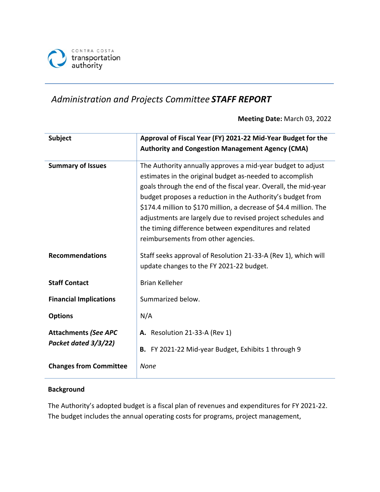

## *Administration and Projects Committee STAFF REPORT*

**Meeting Date:** March 03, 2022

| <b>Subject</b>                                      | Approval of Fiscal Year (FY) 2021-22 Mid-Year Budget for the<br><b>Authority and Congestion Management Agency (CMA)</b>                                                                                                                                                                                                                                                                                                                                                                         |
|-----------------------------------------------------|-------------------------------------------------------------------------------------------------------------------------------------------------------------------------------------------------------------------------------------------------------------------------------------------------------------------------------------------------------------------------------------------------------------------------------------------------------------------------------------------------|
| <b>Summary of Issues</b>                            | The Authority annually approves a mid-year budget to adjust<br>estimates in the original budget as-needed to accomplish<br>goals through the end of the fiscal year. Overall, the mid-year<br>budget proposes a reduction in the Authority's budget from<br>\$174.4 million to \$170 million, a decrease of \$4.4 million. The<br>adjustments are largely due to revised project schedules and<br>the timing difference between expenditures and related<br>reimbursements from other agencies. |
| <b>Recommendations</b>                              | Staff seeks approval of Resolution 21-33-A (Rev 1), which will<br>update changes to the FY 2021-22 budget.                                                                                                                                                                                                                                                                                                                                                                                      |
| <b>Staff Contact</b>                                | <b>Brian Kelleher</b>                                                                                                                                                                                                                                                                                                                                                                                                                                                                           |
| <b>Financial Implications</b>                       | Summarized below.                                                                                                                                                                                                                                                                                                                                                                                                                                                                               |
| <b>Options</b>                                      | N/A                                                                                                                                                                                                                                                                                                                                                                                                                                                                                             |
| <b>Attachments (See APC</b><br>Packet dated 3/3/22) | <b>A.</b> Resolution 21-33-A (Rev 1)<br>B. FY 2021-22 Mid-year Budget, Exhibits 1 through 9                                                                                                                                                                                                                                                                                                                                                                                                     |
| <b>Changes from Committee</b>                       | <b>None</b>                                                                                                                                                                                                                                                                                                                                                                                                                                                                                     |

### **Background**

The Authority's adopted budget is a fiscal plan of revenues and expenditures for FY 2021-22. The budget includes the annual operating costs for programs, project management,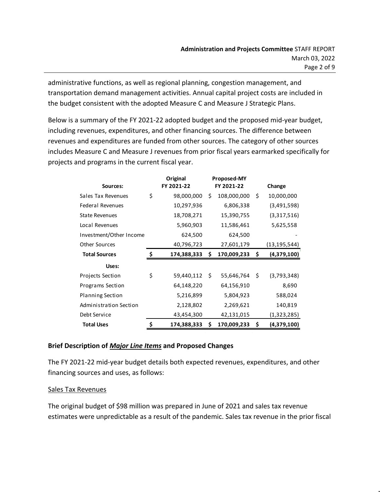administrative functions, as well as regional planning, congestion management, and transportation demand management activities. Annual capital project costs are included in the budget consistent with the adopted Measure C and Measure J Strategic Plans.

Below is a summary of the FY 2021-22 adopted budget and the proposed mid-year budget, including revenues, expenditures, and other financing sources. The difference between revenues and expenditures are funded from other sources. The category of other sources includes Measure C and Measure J revenues from prior fiscal years earmarked specifically for projects and programs in the current fiscal year.

|                         | Original          |            | Proposed-MY |                   |
|-------------------------|-------------------|------------|-------------|-------------------|
| Sources:                | FY 2021-22        | FY 2021-22 |             | Change            |
| Sales Tax Revenues      | \$<br>98,000,000  | \$         | 108,000,000 | \$<br>10,000,000  |
| <b>Federal Revenues</b> | 10,297,936        |            | 6,806,338   | (3,491,598)       |
| <b>State Revenues</b>   | 18,708,271        |            | 15,390,755  | (3,317,516)       |
| Local Revenues          | 5,960,903         |            | 11,586,461  | 5,625,558         |
| Investment/Other Income | 624,500           |            | 624,500     |                   |
| <b>Other Sources</b>    | 40,796,723        |            | 27,601,179  | (13, 195, 544)    |
| <b>Total Sources</b>    | \$<br>174,388,333 | \$         | 170,009,233 | \$<br>(4,379,100) |
| Uses:                   |                   |            |             |                   |
| Projects Section        | \$<br>59,440,112  | -\$        | 55,646,764  | \$<br>(3,793,348) |
| Programs Section        | 64,148,220        |            | 64,156,910  | 8,690             |
| <b>Planning Section</b> | 5,216,899         |            | 5,804,923   | 588,024           |
| Administration Section  | 2,128,802         |            | 2,269,621   | 140,819           |
| Debt Service            | 43,454,300        |            | 42,131,015  | (1,323,285)       |
| <b>Total Uses</b>       | \$<br>174,388,333 | Ś          | 170,009,233 | \$<br>(4,379,100) |

### **Brief Description of** *Major Line Items* **and Proposed Changes**

The FY 2021-22 mid-year budget details both expected revenues, expenditures, and other financing sources and uses, as follows:

### Sales Tax Revenues

The original budget of \$98 million was prepared in June of 2021 and sales tax revenue estimates were unpredictable as a result of the pandemic. Sales tax revenue in the prior fiscal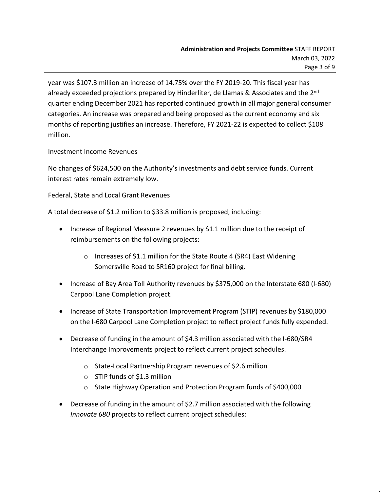year was \$107.3 million an increase of 14.75% over the FY 2019-20. This fiscal year has already exceeded projections prepared by Hinderliter, de Llamas & Associates and the 2<sup>nd</sup> quarter ending December 2021 has reported continued growth in all major general consumer categories. An increase was prepared and being proposed as the current economy and six months of reporting justifies an increase. Therefore, FY 2021-22 is expected to collect \$108 million.

### Investment Income Revenues

No changes of \$624,500 on the Authority's investments and debt service funds. Current interest rates remain extremely low.

### Federal, State and Local Grant Revenues

A total decrease of \$1.2 million to \$33.8 million is proposed, including:

- Increase of Regional Measure 2 revenues by \$1.1 million due to the receipt of reimbursements on the following projects:
	- o Increases of \$1.1 million for the State Route 4 (SR4) East Widening Somersville Road to SR160 project for final billing.
- Increase of Bay Area Toll Authority revenues by \$375,000 on the Interstate 680 (I-680) Carpool Lane Completion project.
- Increase of State Transportation Improvement Program (STIP) revenues by \$180,000 on the I-680 Carpool Lane Completion project to reflect project funds fully expended.
- Decrease of funding in the amount of \$4.3 million associated with the I-680/SR4 Interchange Improvements project to reflect current project schedules.
	- o State-Local Partnership Program revenues of \$2.6 million
	- o STIP funds of \$1.3 million
	- o State Highway Operation and Protection Program funds of \$400,000
- Decrease of funding in the amount of \$2.7 million associated with the following *Innovate 680* projects to reflect current project schedules: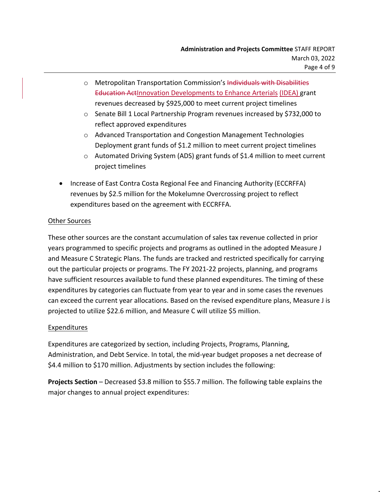- o Metropolitan Transportation Commission's Individuals with Disabilities Education ActInnovation Developments to Enhance Arterials (IDEA) grant revenues decreased by \$925,000 to meet current project timelines
- o Senate Bill 1 Local Partnership Program revenues increased by \$732,000 to reflect approved expenditures
- o Advanced Transportation and Congestion Management Technologies Deployment grant funds of \$1.2 million to meet current project timelines
- o Automated Driving System (ADS) grant funds of \$1.4 million to meet current project timelines
- Increase of East Contra Costa Regional Fee and Financing Authority (ECCRFFA) revenues by \$2.5 million for the Mokelumne Overcrossing project to reflect expenditures based on the agreement with ECCRFFA.

### Other Sources

These other sources are the constant accumulation of sales tax revenue collected in prior years programmed to specific projects and programs as outlined in the adopted Measure J and Measure C Strategic Plans. The funds are tracked and restricted specifically for carrying out the particular projects or programs. The FY 2021-22 projects, planning, and programs have sufficient resources available to fund these planned expenditures. The timing of these expenditures by categories can fluctuate from year to year and in some cases the revenues can exceed the current year allocations. Based on the revised expenditure plans, Measure J is projected to utilize \$22.6 million, and Measure C will utilize \$5 million.

### Expenditures

Expenditures are categorized by section, including Projects, Programs, Planning, Administration, and Debt Service. In total, the mid-year budget proposes a net decrease of \$4.4 million to \$170 million. Adjustments by section includes the following:

**Projects Section** – Decreased \$3.8 million to \$55.7 million. The following table explains the major changes to annual project expenditures: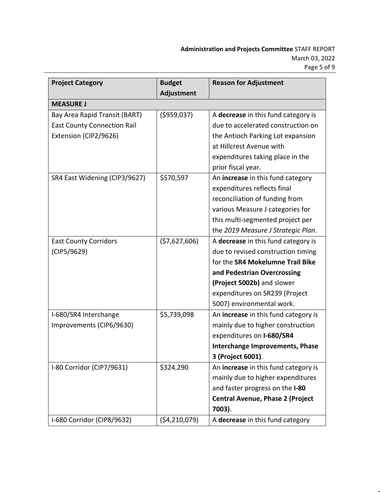| <b>Project Category</b>            | <b>Budget</b>  | <b>Reason for Adjustment</b>            |
|------------------------------------|----------------|-----------------------------------------|
|                                    | Adjustment     |                                         |
| <b>MEASURE J</b>                   |                |                                         |
| Bay Area Rapid Transit (BART)      | ( \$959,037)   | A decrease in this fund category is     |
| <b>East County Connection Rail</b> |                | due to accelerated construction on      |
| Extension (CIP2/9626)              |                | the Antioch Parking Lot expansion       |
|                                    |                | at Hillcrest Avenue with                |
|                                    |                | expenditures taking place in the        |
|                                    |                | prior fiscal year.                      |
| SR4 East Widening (CIP3/9627)      | \$570,597      | An increase in this fund category       |
|                                    |                | expenditures reflects final             |
|                                    |                | reconciliation of funding from          |
|                                    |                | various Measure J categories for        |
|                                    |                | this multi-segmented project per        |
|                                    |                | the 2019 Measure J Strategic Plan.      |
| <b>East County Corridors</b>       | (57,627,606)   | A decrease in this fund category is     |
| (CIP5/9629)                        |                | due to revised construction timing      |
|                                    |                | for the SR4 Mokelumne Trail Bike        |
|                                    |                | and Pedestrian Overcrossing             |
|                                    |                | (Project 5002b) and slower              |
|                                    |                | expenditures on SR239 (Project          |
|                                    |                | 5007) environmental work.               |
| I-680/SR4 Interchange              | \$5,739,098    | An increase in this fund category is    |
| Improvements (CIP6/9630)           |                | mainly due to higher construction       |
|                                    |                | expenditures on I-680/SR4               |
|                                    |                | <b>Interchange Improvements, Phase</b>  |
|                                    |                | 3 (Project 6001).                       |
| I-80 Corridor (CIP7/9631)          | \$324,290      | An increase in this fund category is    |
|                                    |                | mainly due to higher expenditures       |
|                                    |                | and faster progress on the I-80         |
|                                    |                | <b>Central Avenue, Phase 2 (Project</b> |
|                                    |                | 7003).                                  |
| I-680 Corridor (CIP8/9632)         | (54, 210, 079) | A decrease in this fund category        |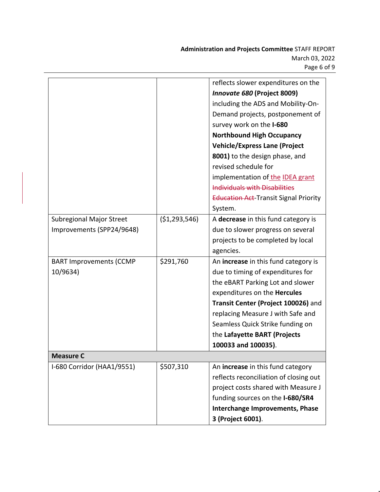|                                 |                | reflects slower expenditures on the          |
|---------------------------------|----------------|----------------------------------------------|
|                                 |                | Innovate 680 (Project 8009)                  |
|                                 |                | including the ADS and Mobility-On-           |
|                                 |                | Demand projects, postponement of             |
|                                 |                | survey work on the I-680                     |
|                                 |                | <b>Northbound High Occupancy</b>             |
|                                 |                | <b>Vehicle/Express Lane (Project</b>         |
|                                 |                | 8001) to the design phase, and               |
|                                 |                | revised schedule for                         |
|                                 |                | implementation of the IDEA grant             |
|                                 |                | <b>Individuals with Disabilities</b>         |
|                                 |                | <b>Education Act-Transit Signal Priority</b> |
|                                 |                | System.                                      |
| <b>Subregional Major Street</b> | ( \$1,293,546) | A decrease in this fund category is          |
| Improvements (SPP24/9648)       |                | due to slower progress on several            |
|                                 |                | projects to be completed by local            |
|                                 |                | agencies.                                    |
| <b>BART Improvements (CCMP</b>  | \$291,760      | An increase in this fund category is         |
| 10/9634)                        |                | due to timing of expenditures for            |
|                                 |                | the eBART Parking Lot and slower             |
|                                 |                | expenditures on the Hercules                 |
|                                 |                | Transit Center (Project 100026) and          |
|                                 |                | replacing Measure J with Safe and            |
|                                 |                | Seamless Quick Strike funding on             |
|                                 |                | the Lafayette BART (Projects                 |
|                                 |                | 100033 and 100035).                          |
| <b>Measure C</b>                |                |                                              |
| I-680 Corridor (HAA1/9551)      | \$507,310      | An increase in this fund category            |
|                                 |                | reflects reconciliation of closing out       |
|                                 |                | project costs shared with Measure J          |
|                                 |                | funding sources on the I-680/SR4             |
|                                 |                | Interchange Improvements, Phase              |
|                                 |                | 3 (Project 6001).                            |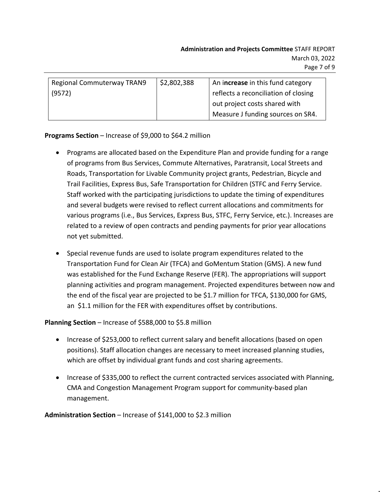| <b>Regional Commuterway TRAN9</b> | \$2,802,388 | An increase in this fund category    |
|-----------------------------------|-------------|--------------------------------------|
| (9572)                            |             | reflects a reconciliation of closing |
|                                   |             | out project costs shared with        |
|                                   |             | Measure J funding sources on SR4.    |

### **Programs Section** – Increase of \$9,000 to \$64.2 million

- Programs are allocated based on the Expenditure Plan and provide funding for a range of programs from Bus Services, Commute Alternatives, Paratransit, Local Streets and Roads, Transportation for Livable Community project grants, Pedestrian, Bicycle and Trail Facilities, Express Bus, Safe Transportation for Children (STFC and Ferry Service. Staff worked with the participating jurisdictions to update the timing of expenditures and several budgets were revised to reflect current allocations and commitments for various programs (i.e., Bus Services, Express Bus, STFC, Ferry Service, etc.). Increases are related to a review of open contracts and pending payments for prior year allocations not yet submitted.
- Special revenue funds are used to isolate program expenditures related to the Transportation Fund for Clean Air (TFCA) and GoMentum Station (GMS). A new fund was established for the Fund Exchange Reserve (FER). The appropriations will support planning activities and program management. Projected expenditures between now and the end of the fiscal year are projected to be \$1.7 million for TFCA, \$130,000 for GMS, an \$1.1 million for the FER with expenditures offset by contributions.

### **Planning Section** – Increase of \$588,000 to \$5.8 million

- Increase of \$253,000 to reflect current salary and benefit allocations (based on open positions). Staff allocation changes are necessary to meet increased planning studies, which are offset by individual grant funds and cost sharing agreements.
- Increase of \$335,000 to reflect the current contracted services associated with Planning, CMA and Congestion Management Program support for community-based plan management.

### **Administration Section** – Increase of \$141,000 to \$2.3 million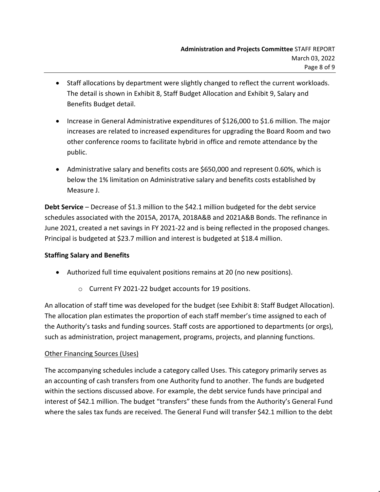- Staff allocations by department were slightly changed to reflect the current workloads. The detail is shown in Exhibit 8, Staff Budget Allocation and Exhibit 9, Salary and Benefits Budget detail.
- Increase in General Administrative expenditures of \$126,000 to \$1.6 million. The major increases are related to increased expenditures for upgrading the Board Room and two other conference rooms to facilitate hybrid in office and remote attendance by the public.
- Administrative salary and benefits costs are \$650,000 and represent 0.60%, which is below the 1% limitation on Administrative salary and benefits costs established by Measure J.

**Debt Service** – Decrease of \$1.3 million to the \$42.1 million budgeted for the debt service schedules associated with the 2015A, 2017A, 2018A&B and 2021A&B Bonds. The refinance in June 2021, created a net savings in FY 2021-22 and is being reflected in the proposed changes. Principal is budgeted at \$23.7 million and interest is budgeted at \$18.4 million.

### **Staffing Salary and Benefits**

- Authorized full time equivalent positions remains at 20 (no new positions).
	- o Current FY 2021-22 budget accounts for 19 positions.

An allocation of staff time was developed for the budget (see Exhibit 8: Staff Budget Allocation). The allocation plan estimates the proportion of each staff member's time assigned to each of the Authority's tasks and funding sources. Staff costs are apportioned to departments (or orgs), such as administration, project management, programs, projects, and planning functions.

### Other Financing Sources (Uses)

The accompanying schedules include a category called Uses. This category primarily serves as an accounting of cash transfers from one Authority fund to another. The funds are budgeted within the sections discussed above. For example, the debt service funds have principal and interest of \$42.1 million. The budget "transfers" these funds from the Authority's General Fund where the sales tax funds are received. The General Fund will transfer \$42.1 million to the debt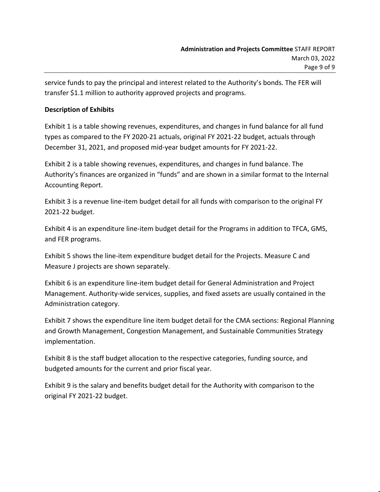service funds to pay the principal and interest related to the Authority's bonds. The FER will transfer \$1.1 million to authority approved projects and programs.

### **Description of Exhibits**

Exhibit 1 is a table showing revenues, expenditures, and changes in fund balance for all fund types as compared to the FY 2020-21 actuals, original FY 2021-22 budget, actuals through December 31, 2021, and proposed mid-year budget amounts for FY 2021-22.

Exhibit 2 is a table showing revenues, expenditures, and changes in fund balance. The Authority's finances are organized in "funds" and are shown in a similar format to the Internal Accounting Report.

Exhibit 3 is a revenue line-item budget detail for all funds with comparison to the original FY 2021-22 budget.

Exhibit 4 is an expenditure line-item budget detail for the Programs in addition to TFCA, GMS, and FER programs.

Exhibit 5 shows the line-item expenditure budget detail for the Projects. Measure C and Measure J projects are shown separately.

Exhibit 6 is an expenditure line-item budget detail for General Administration and Project Management. Authority-wide services, supplies, and fixed assets are usually contained in the Administration category.

Exhibit 7 shows the expenditure line item budget detail for the CMA sections: Regional Planning and Growth Management, Congestion Management, and Sustainable Communities Strategy implementation.

Exhibit 8 is the staff budget allocation to the respective categories, funding source, and budgeted amounts for the current and prior fiscal year.

Exhibit 9 is the salary and benefits budget detail for the Authority with comparison to the original FY 2021-22 budget.